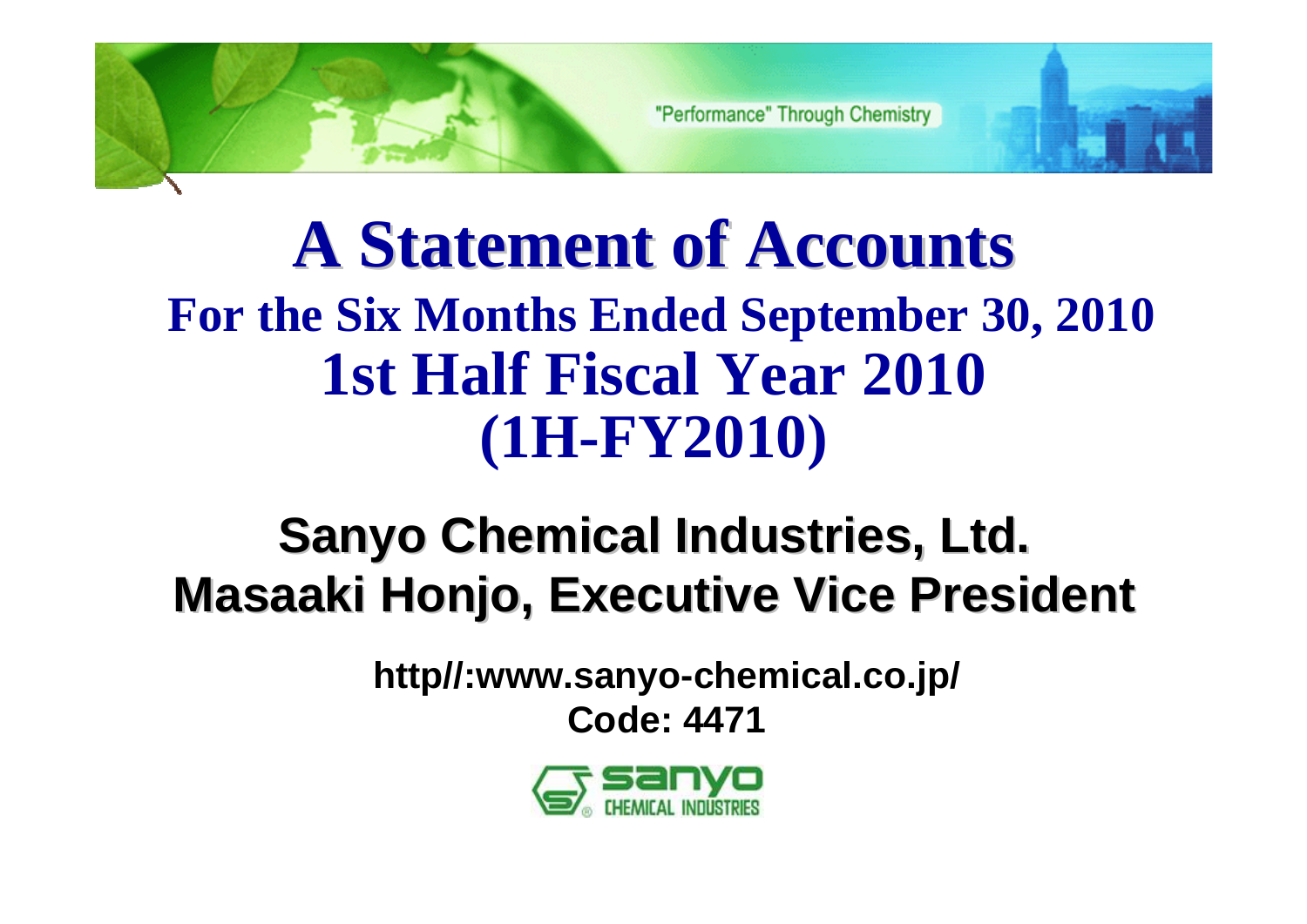# **A Statement of Accounts A Statement of Accounts For the Six Months Ended September 30, 2010 1st Half Fiscal Year 2010 (1H-FY2010)**

# **Sanyo Chemical Industries, Ltd. Sanyo Chemical Industries, Ltd. Masaaki Honjo, Executive Vice President**

**http//:www.sanyo-chemical.co.jp/ Code: 4471**

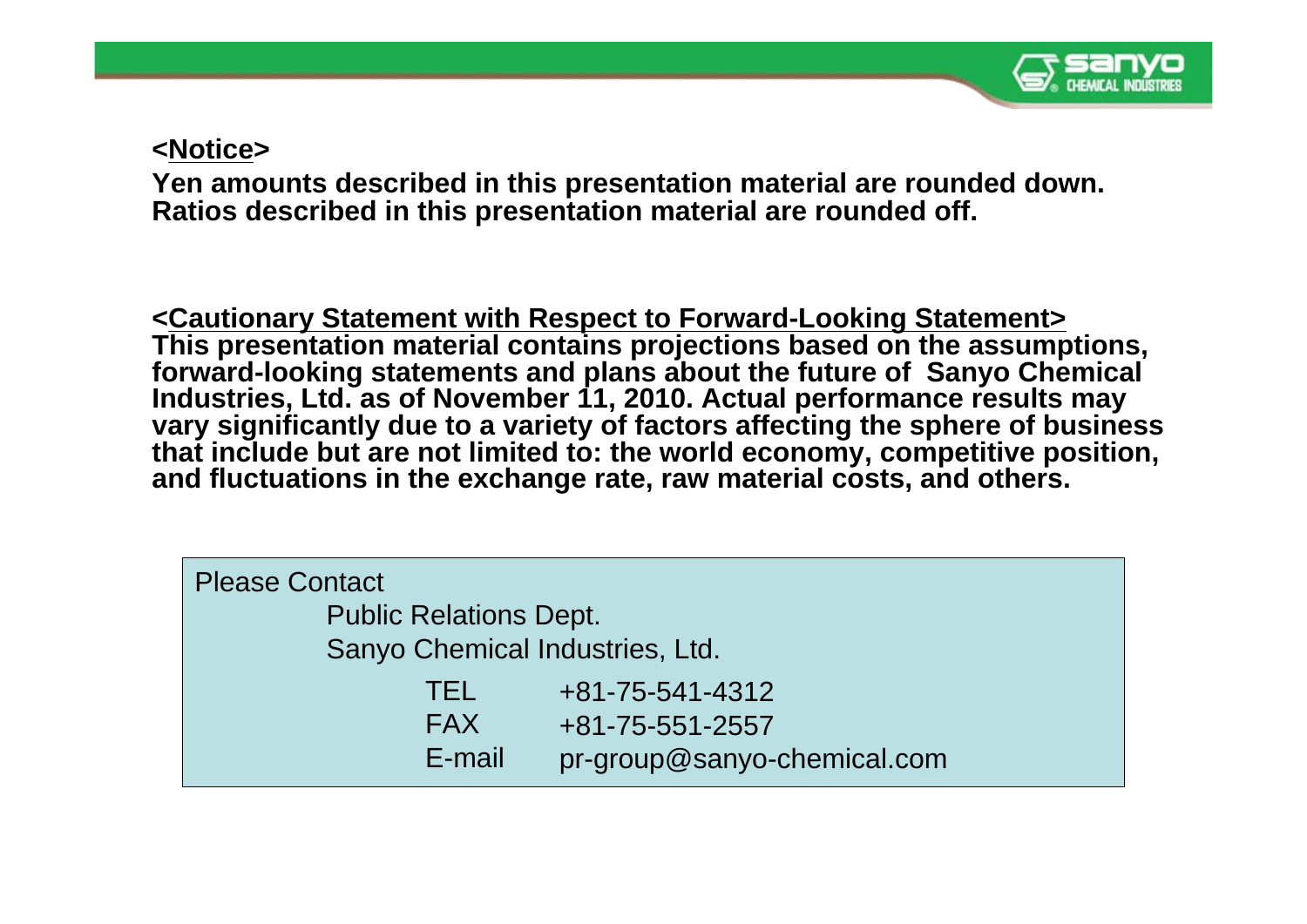

#### **<Notice>**

**Yen amounts described in this presentation material are rounded down. Ratios described in this presentation material are rounded off.**

**<Cautionary Statement with Respect to Forward-Looking Statement> This presentation material contains projections based on the assumptions, forward-looking statements and plans about the future of Sanyo Chemical Industries, Ltd. as of November 11, 2010. Actual performance results may vary significantly due to a variety of factors affecting the sphere of business that include but are not limited to: the world economy, competitive position, and fluctuations in the exchange rate, raw material costs, and others.** 

| <b>Please Contact</b>           |                             |
|---------------------------------|-----------------------------|
| <b>Public Relations Dept.</b>   |                             |
| Sanyo Chemical Industries, Ltd. |                             |
| TEL                             | +81-75-541-4312             |
| <b>FAX</b>                      | +81-75-551-2557             |
| E-mail                          | pr-group@sanyo-chemical.com |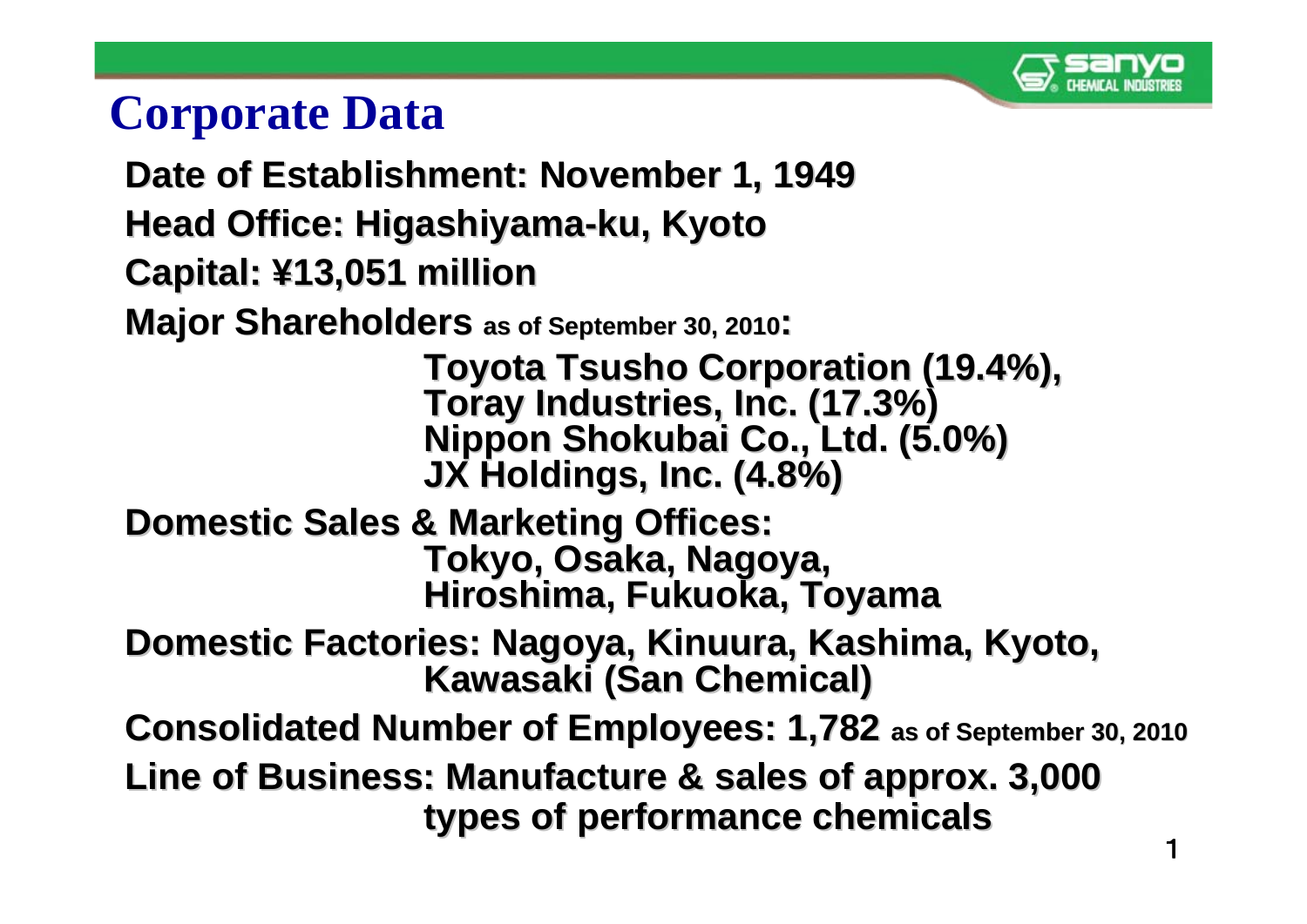

## **Corporate Data**

- **Date of Establishment: November 1, 1949 Date of Establishment: November 1, 1949**
- **Head Office: Higashiyama Head Office: Higashiyama -ku, Kyoto ku, Kyoto**
- **Capital: Capital: ¥13,051 million 13,051 million**

**Major Shareholders as of September 30, 2010:** 

Toyota Tsusho Corporation (19.4%),<br>Toray Industries, Inc. (17.3%)<br>Nippon Shokubai Co., Ltd. (5.0%) **JX Holdings, Inc. (4.8%)** 

- **Domestic Sales & Marketing Offices: Domestic Sales & Marketing Offices: Tokyo, Osaka, Nagoya, Tokyo, Osaka, Nagoya, Hiroshima, Fukuoka, Toyama Hiroshima, Fukuoka, Toyama**
- **Domestic Factories: Nagoya, Kinuura, Kashima, Kyoto, Domestic Factories: Nagoya, Kinuura, Kashima, Kyoto, Kawasaki (San Chemical) Kawasaki (San Chemical)**
- **Consolidated Number of Employees: 1, Consolidated Number of Employees: 1,782 as of September 30, 2010 as of September 30, 2010**
- **Line of Business: Manufacture & sales of approx. 3,000 Line of Business: Manufacture & sales of approx. 3,000 types of performance chemicals types of performance chemicals**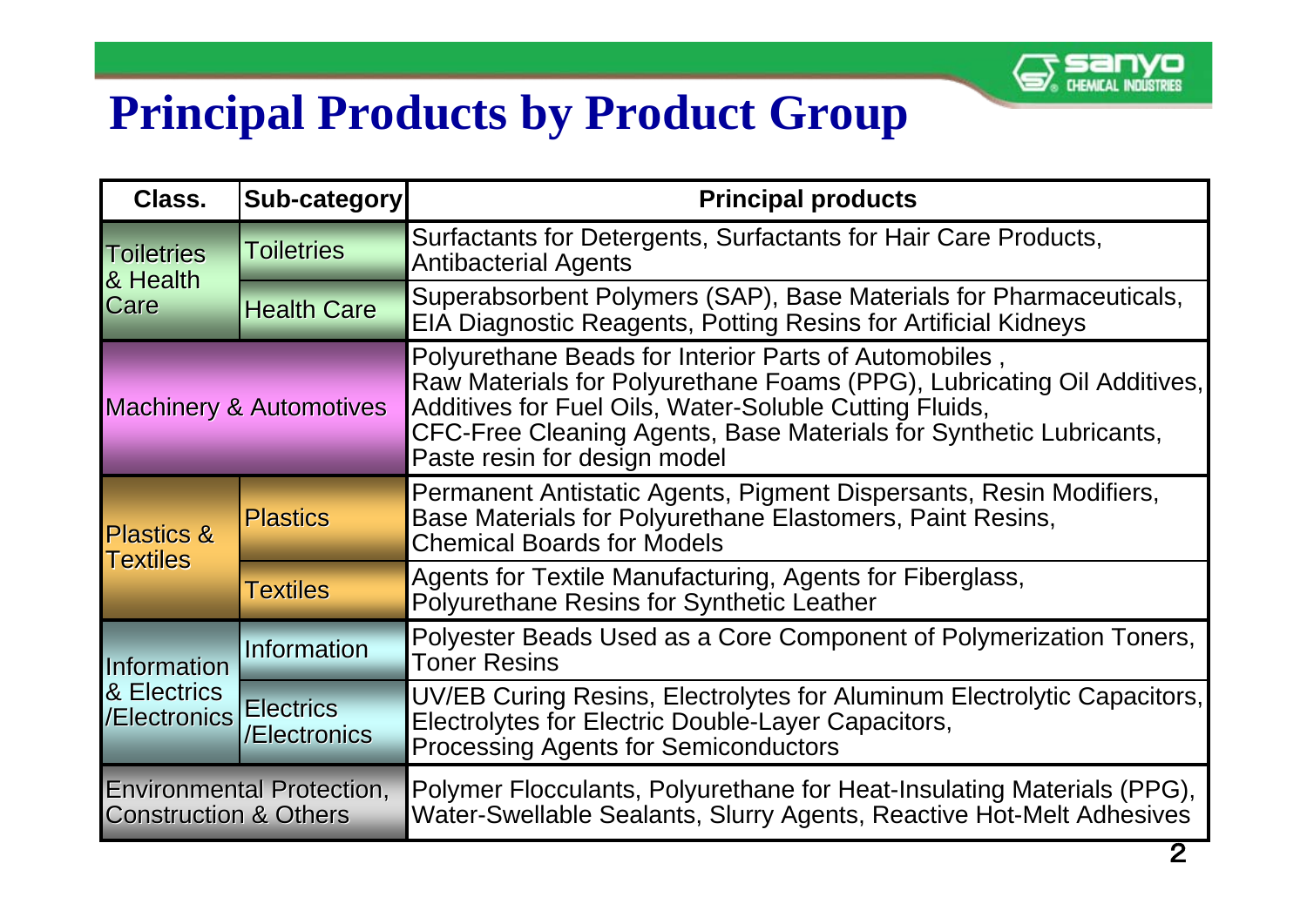

# **Principal Products by Product Group**

| Class.                                                               | Sub-category                     | <b>Principal products</b>                                                                                                                                                                                                                                                                       |  |  |  |  |
|----------------------------------------------------------------------|----------------------------------|-------------------------------------------------------------------------------------------------------------------------------------------------------------------------------------------------------------------------------------------------------------------------------------------------|--|--|--|--|
| <b>Toiletries</b><br><b>Toiletries</b><br>& Health                   |                                  | Surfactants for Detergents, Surfactants for Hair Care Products,<br><b>Antibacterial Agents</b>                                                                                                                                                                                                  |  |  |  |  |
| Care                                                                 | <b>Health Care</b>               | Superabsorbent Polymers (SAP), Base Materials for Pharmaceuticals,<br><b>EIA Diagnostic Reagents, Potting Resins for Artificial Kidneys</b>                                                                                                                                                     |  |  |  |  |
| <b>Machinery &amp; Automotives</b>                                   |                                  | Polyurethane Beads for Interior Parts of Automobiles,<br>Raw Materials for Polyurethane Foams (PPG), Lubricating Oil Additives,<br>Additives for Fuel Oils, Water-Soluble Cutting Fluids,<br>CFC-Free Cleaning Agents, Base Materials for Synthetic Lubricants,<br>Paste resin for design model |  |  |  |  |
| <b>Plastics</b><br><b>Plastics &amp;</b>                             |                                  | Permanent Antistatic Agents, Pigment Dispersants, Resin Modifiers,<br>Base Materials for Polyurethane Elastomers, Paint Resins,<br><b>Chemical Boards for Models</b>                                                                                                                            |  |  |  |  |
| Textiles                                                             | <b>Textiles</b>                  | Agents for Textile Manufacturing, Agents for Fiberglass,<br><b>Polyurethane Resins for Synthetic Leather</b>                                                                                                                                                                                    |  |  |  |  |
| Information                                                          | <b>Information</b>               | Polyester Beads Used as a Core Component of Polymerization Toners,<br><b>Toner Resins</b>                                                                                                                                                                                                       |  |  |  |  |
| & Electrics<br>/Electronics                                          | <b>Electrics</b><br>/Electronics | UV/EB Curing Resins, Electrolytes for Aluminum Electrolytic Capacitors,<br>Electrolytes for Electric Double-Layer Capacitors,<br><b>Processing Agents for Semiconductors</b>                                                                                                                    |  |  |  |  |
| <b>Environmental Protection,</b><br><b>Construction &amp; Others</b> |                                  | Polymer Flocculants, Polyurethane for Heat-Insulating Materials (PPG),<br>Water-Swellable Sealants, Slurry Agents, Reactive Hot-Melt Adhesives                                                                                                                                                  |  |  |  |  |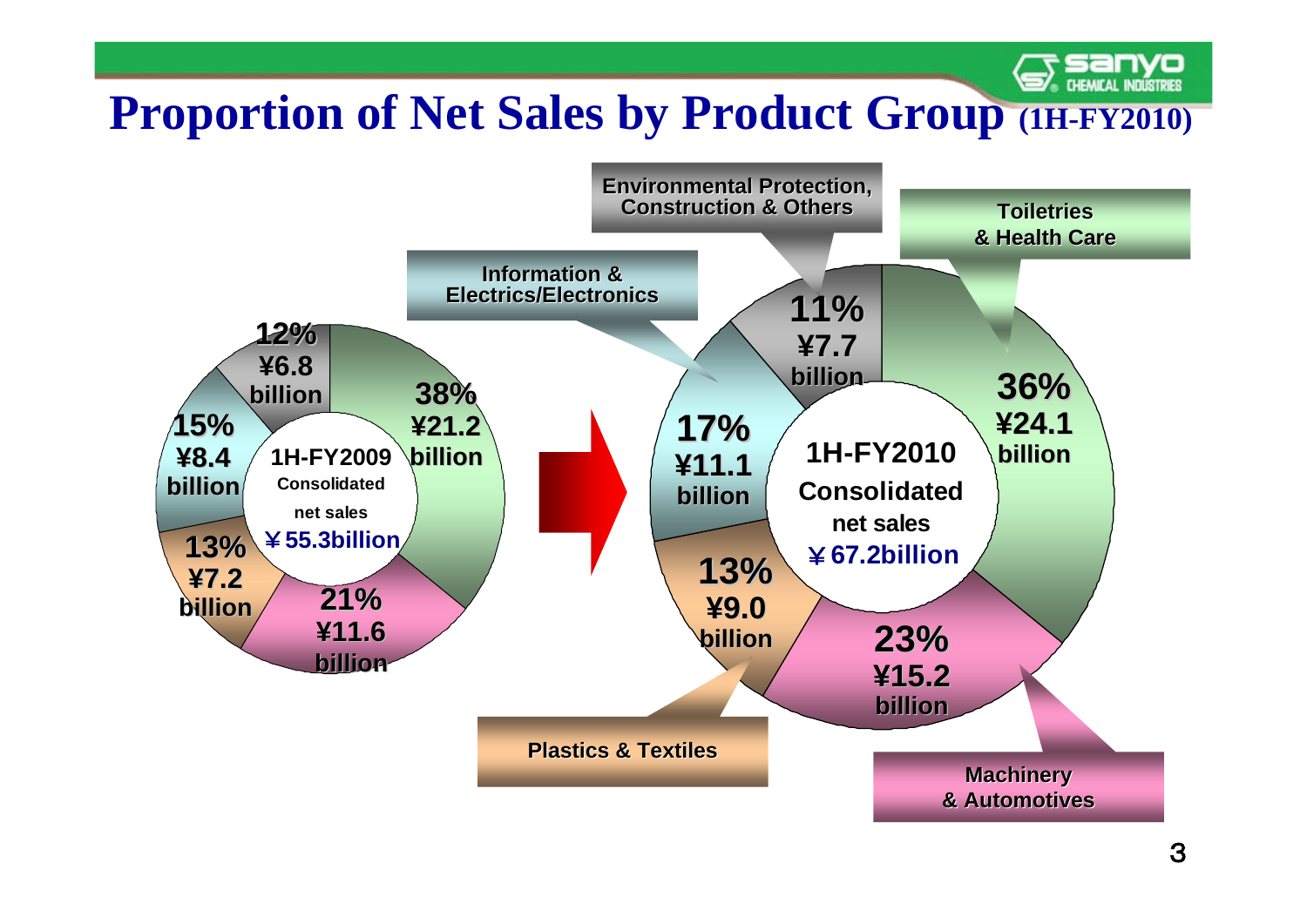#### **CHEMICAL INDUSTRIES Proportion of Net Sales by Product Group (1H-FY2010)**

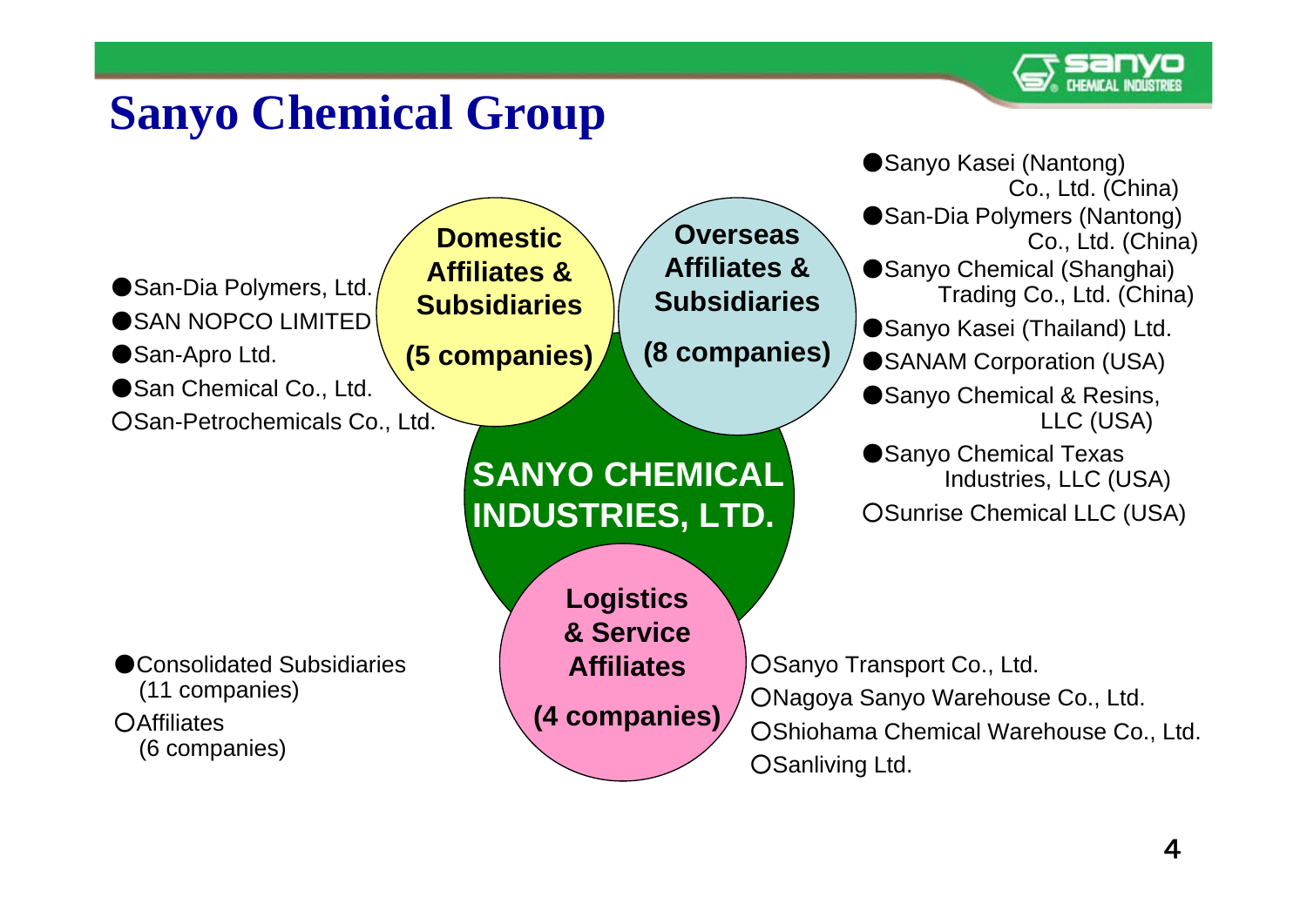

# **Sanyo Chemical Group**

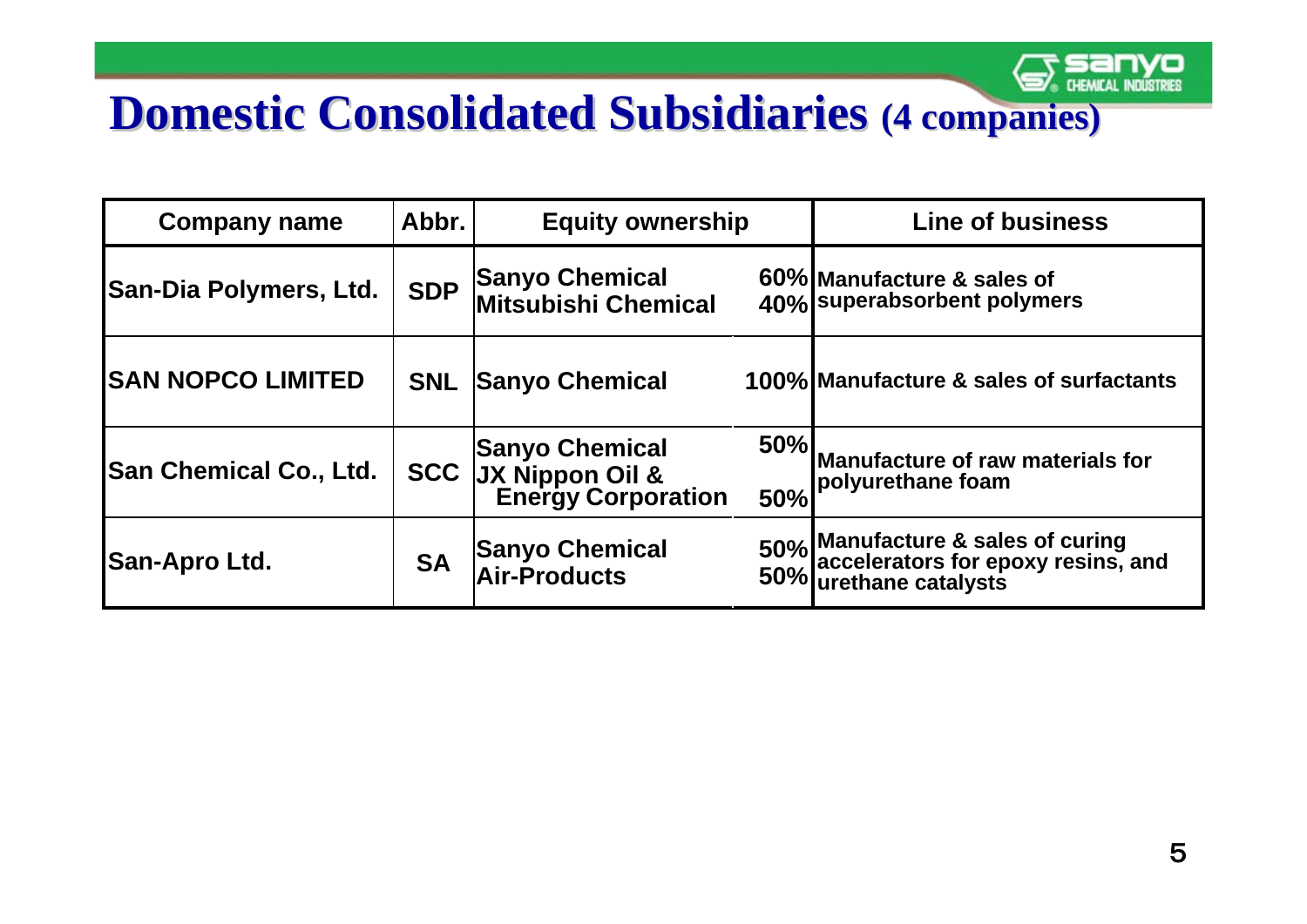# **Domestic Consolidated Subsidiaries (4 companies)**

| <b>Company name</b>           | Abbr.      | <b>Equity ownership</b>                                                              |            | <b>Line of business</b>                                                                               |
|-------------------------------|------------|--------------------------------------------------------------------------------------|------------|-------------------------------------------------------------------------------------------------------|
| <b>San-Dia Polymers, Ltd.</b> | <b>SDP</b> | <b>Sanyo Chemical</b><br><b>Mitsubishi Chemical</b>                                  |            | 60% Manufacture & sales of<br>40% superabsorbent polymers                                             |
| <b>SAN NOPCO LIMITED</b>      | <b>SNL</b> | <b>Sanyo Chemical</b>                                                                |            | 100% Manufacture & sales of surfactants                                                               |
| <b>San Chemical Co., Ltd.</b> |            | <b>Sanyo Chemical</b><br><b>SCC JX Nippon Oil &amp;</b><br><b>Energy Corporation</b> | 50%<br>50% | Manufacture of raw materials for<br>polyurethane foam                                                 |
| San-Apro Ltd.                 | <b>SA</b>  | <b>Sanyo Chemical</b><br><b>Air-Products</b>                                         |            | 50% Manufacture & sales of curing<br>50% accelerators for epoxy resins, and<br>50% urethane catalysts |

**IYO**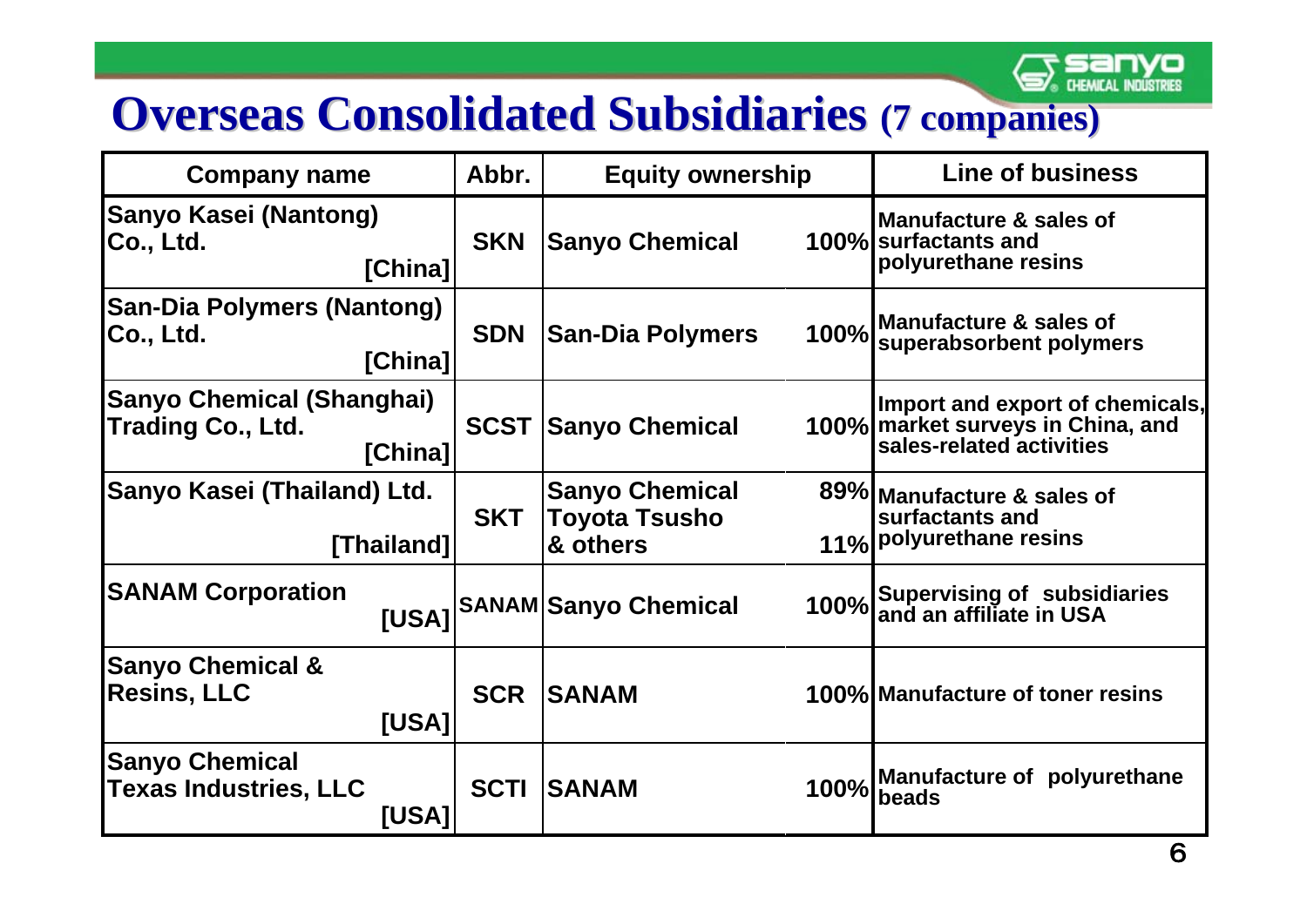

# **Overseas Consolidated Subsidiaries (7 companies)**

| <b>Company name</b>                                              | Abbr.       | <b>Equity ownership</b>                            |      | <b>Line of business</b>                                                                          |
|------------------------------------------------------------------|-------------|----------------------------------------------------|------|--------------------------------------------------------------------------------------------------|
| <b>Sanyo Kasei (Nantong)</b><br>Co., Ltd.<br>[China]             | <b>SKN</b>  | <b>Sanyo Chemical</b>                              |      | Manufacture & sales of<br>100% surfactants and<br>polyurethane resins                            |
| <b>San-Dia Polymers (Nantong)</b><br><b>Co., Ltd.</b><br>[China] | <b>SDN</b>  | <b>San-Dia Polymers</b>                            |      | 100% Manufacture & sales of<br>100% superabsorbent polymers                                      |
| <b>Sanyo Chemical (Shanghai)</b><br>Trading Co., Ltd.<br>[China] | <b>SCST</b> | <b>Sanyo Chemical</b>                              |      | Import and export of chemicals,<br>100% market surveys in China, and<br>sales-related activities |
| Sanyo Kasei (Thailand) Ltd.<br>[Thailand]                        | <b>SKT</b>  | <b>Sanyo Chemical</b><br>Toyota Tsusho<br>& others |      | 89% Manufacture & sales of<br>surfactants and<br>11% polyurethane resins                         |
| <b>SANAM Corporation</b>                                         |             | [USA] SANAM Sanyo Chemical                         |      | 100% Supervising of subsidiaries<br>100% and an affiliate in USA                                 |
| <b>Sanyo Chemical &amp;</b><br><b>Resins, LLC</b><br>[USA]       | <b>SCR</b>  | <b>SANAM</b>                                       |      | 100% Manufacture of toner resins                                                                 |
| <b>Sanyo Chemical</b><br><b>Texas Industries, LLC</b><br>[USA]   | <b>SCTI</b> | <b>SANAM</b>                                       | 100% | Manufacture of polyurethane<br>beads                                                             |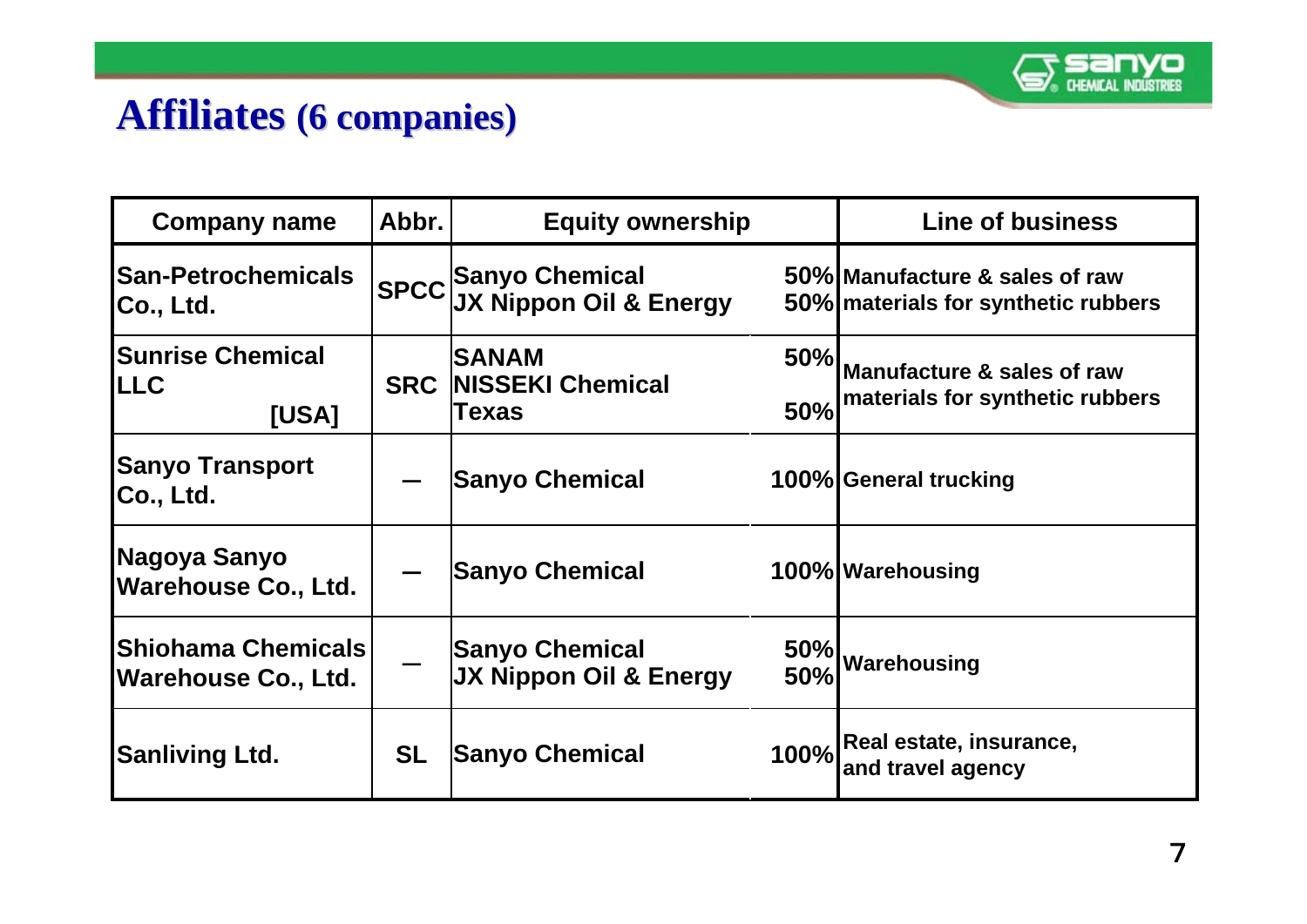

#### **Affiliates Affiliates (6 companies) (6 companies)**

| <b>Company name</b>                                     | Abbr.      | <b>Equity ownership</b>                                                       | <b>Line of business</b> |                                                                       |
|---------------------------------------------------------|------------|-------------------------------------------------------------------------------|-------------------------|-----------------------------------------------------------------------|
| <b>San-Petrochemicals</b><br>Co., Ltd.                  |            | SPCC <sup> </sup> Sanyo Chemical<br> SPCC <sup> </sup> JX Nippon Oil & Energy |                         | 50% Manufacture & sales of raw<br>50% materials for synthetic rubbers |
| <b>Sunrise Chemical</b><br><b>ILLC</b><br>[USA]         | <b>SRC</b> | <b>SANAM</b><br><b>NISSEKI Chemical</b><br>Texas                              | 50%<br>50%              | Manufacture & sales of raw<br>materials for synthetic rubbers         |
| <b>Sanyo Transport</b><br>Co., Ltd.                     |            | <b>Sanyo Chemical</b>                                                         |                         | 100% General trucking                                                 |
| Nagoya Sanyo<br><b>Warehouse Co., Ltd.</b>              |            | <b>Sanyo Chemical</b>                                                         |                         | 100% Warehousing                                                      |
| <b>Shiohama Chemicals</b><br><b>Warehouse Co., Ltd.</b> |            | <b>Sanyo Chemical</b><br>JX Nippon Oil & Energy                               | 50%                     | 50%   Warehousing                                                     |
| <b>Sanliving Ltd.</b>                                   | <b>SL</b>  | <b>Sanyo Chemical</b>                                                         |                         | 100% Real estate, insurance,<br>and travel agency                     |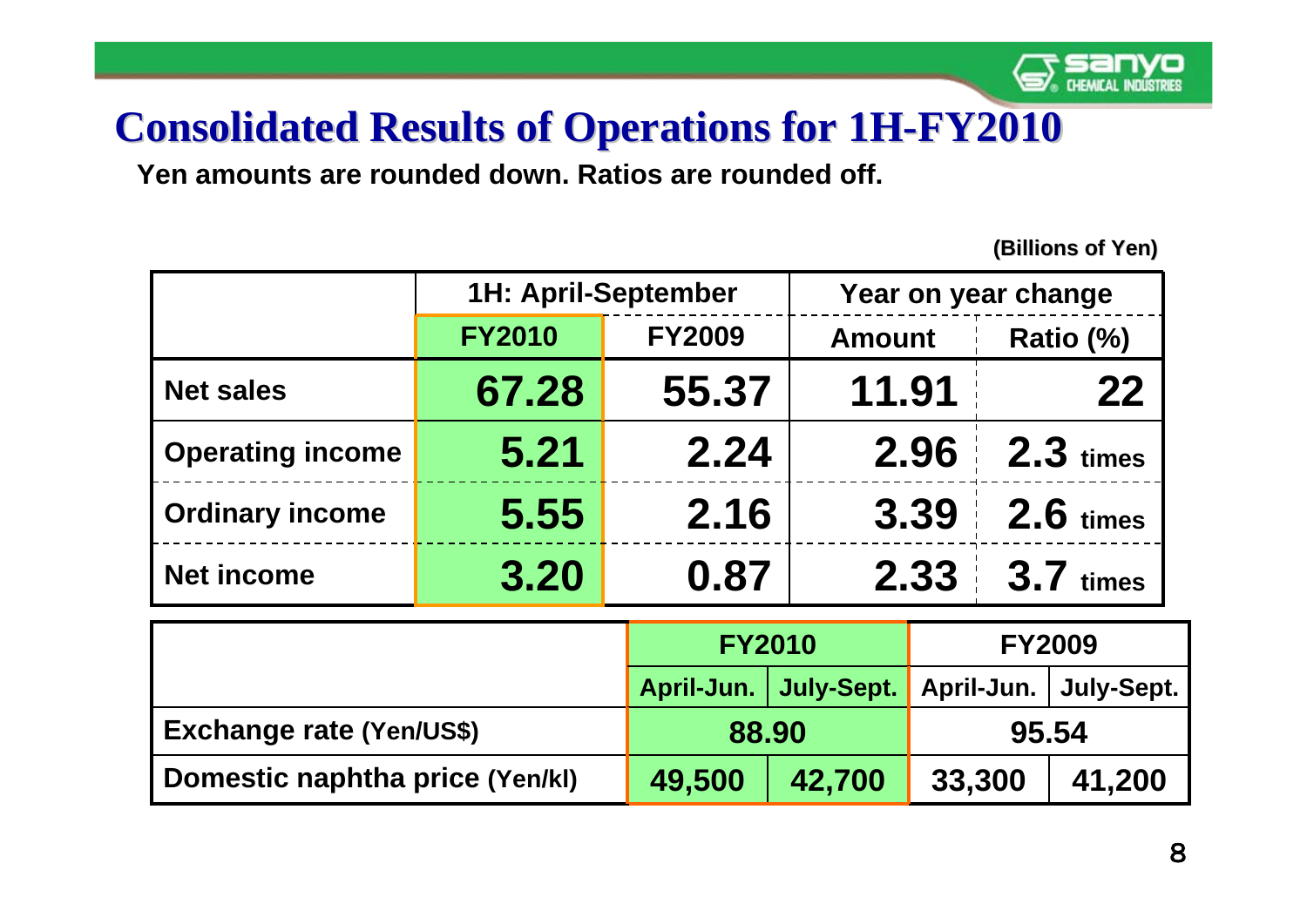

## **Consolidated Results of Operations for 1H-FY2010**

**Yen amounts are rounded down. Ratios are rounded off.**

|                         | <b>1H: April-September</b> |               | Year on year change |             |  |
|-------------------------|----------------------------|---------------|---------------------|-------------|--|
|                         | <b>FY2010</b>              | <b>FY2009</b> | <b>Amount</b>       | Ratio (%)   |  |
| <b>Net sales</b>        | 67.28                      | 55.37         | 11.91               | 22          |  |
| <b>Operating income</b> | 5.21                       | 2.24          | 2.96                | $2.3$ times |  |
| <b>Ordinary income</b>  | 5.55                       | 2.16          | 3.39                | $2.6$ times |  |
| <b>Net income</b>       | 3.20                       | 0.87          | 2.33                | $3.7$ times |  |

|                                 | <b>FY2010</b> |                                                   | <b>FY2009</b> |        |
|---------------------------------|---------------|---------------------------------------------------|---------------|--------|
|                                 |               | April-Jun.   July-Sept.   April-Jun.   July-Sept. |               |        |
| <b>Exchange rate (Yen/US\$)</b> | 88.90         |                                                   | 95.54         |        |
| Domestic naphtha price (Yen/kl) | 49,500        | 42,700                                            | 33,300        | 41,200 |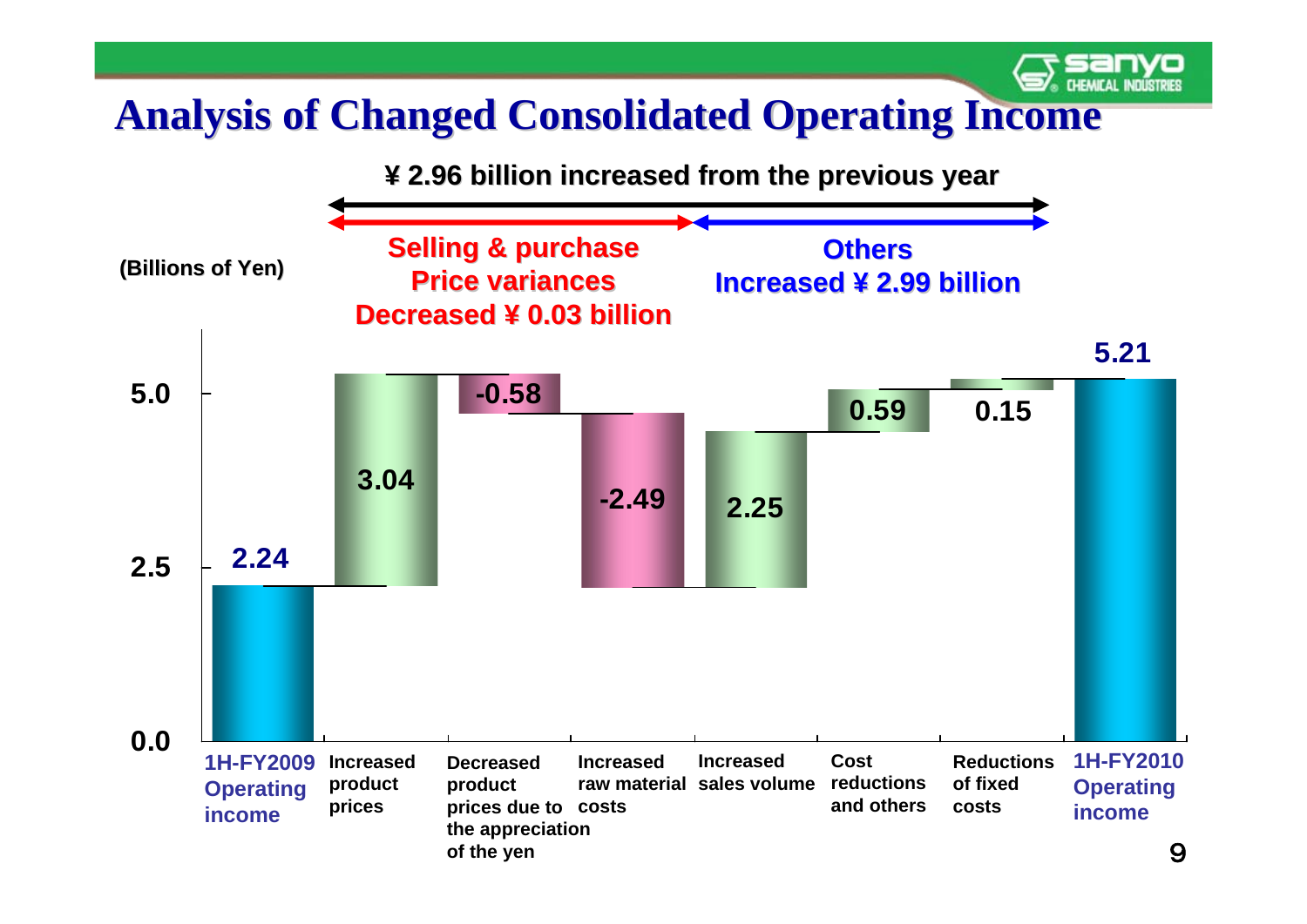#### **Analysis of Changed Consolidated Operating Income Analysis of Changed Consolidated Operating Income**

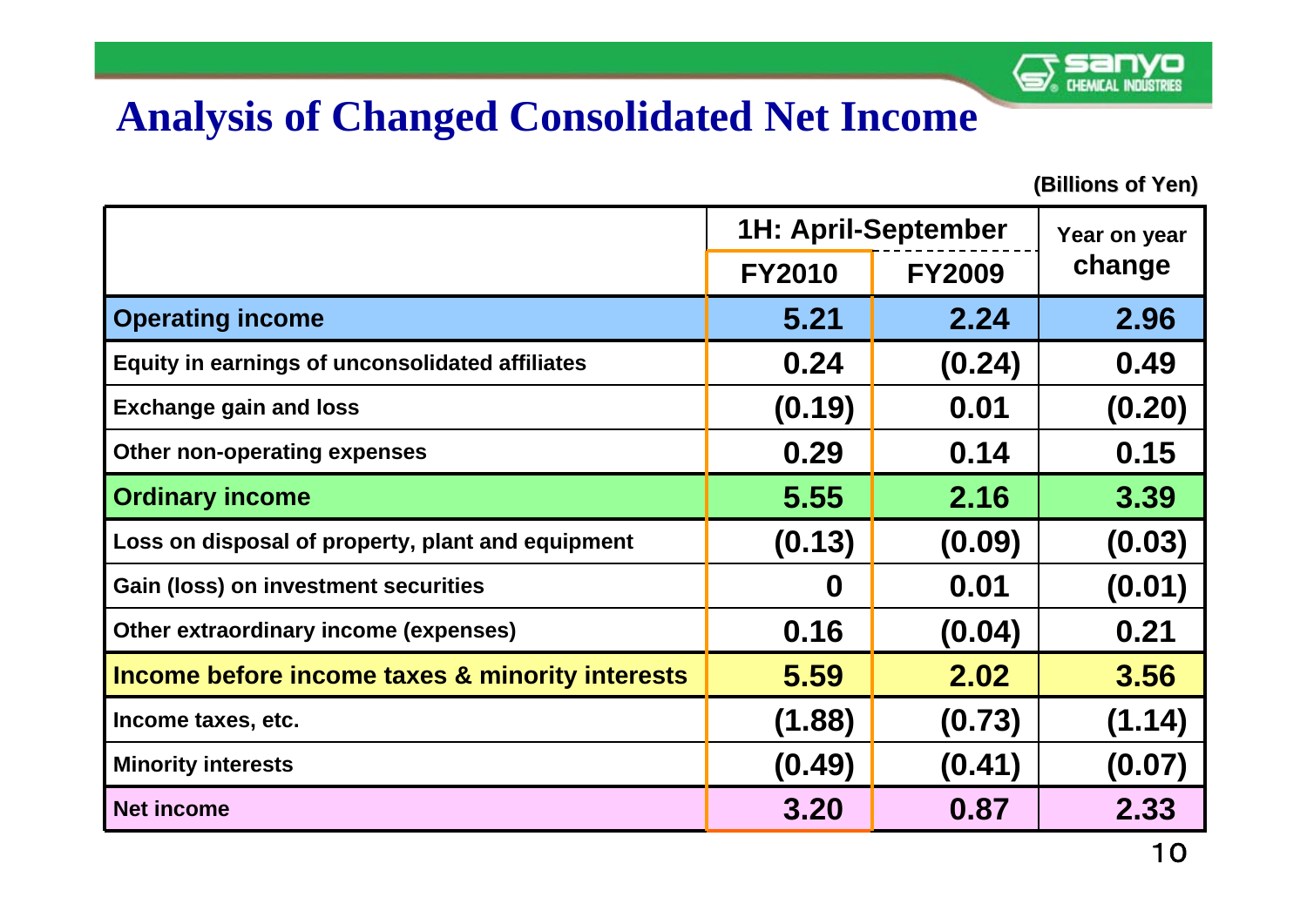

#### **Analysis of Changed Consolidated Net Income**

|                                                   | <b>1H: April-September</b> | Year on year  |        |
|---------------------------------------------------|----------------------------|---------------|--------|
|                                                   | <b>FY2010</b>              | <b>FY2009</b> | change |
| <b>Operating income</b>                           | 5.21                       | 2.24          | 2.96   |
| Equity in earnings of unconsolidated affiliates   | 0.24                       | (0.24)        | 0.49   |
| <b>Exchange gain and loss</b>                     | (0.19)                     | 0.01          | (0.20) |
| Other non-operating expenses                      | 0.29                       | 0.14          | 0.15   |
| <b>Ordinary income</b>                            | 5.55                       | 2.16          | 3.39   |
| Loss on disposal of property, plant and equipment | (0.13)                     | (0.09)        | (0.03) |
| <b>Gain (loss) on investment securities</b>       | O                          | 0.01          | (0.01) |
| Other extraordinary income (expenses)             | 0.16                       | (0.04)        | 0.21   |
| Income before income taxes & minority interests   | 5.59                       | 2.02          | 3.56   |
| Income taxes, etc.                                | (1.88)                     | (0.73)        | (1.14) |
| <b>Minority interests</b>                         | (0.49)                     | (0.41)        | (0.07) |
| <b>Net income</b>                                 | 3.20                       | 0.87          | 2.33   |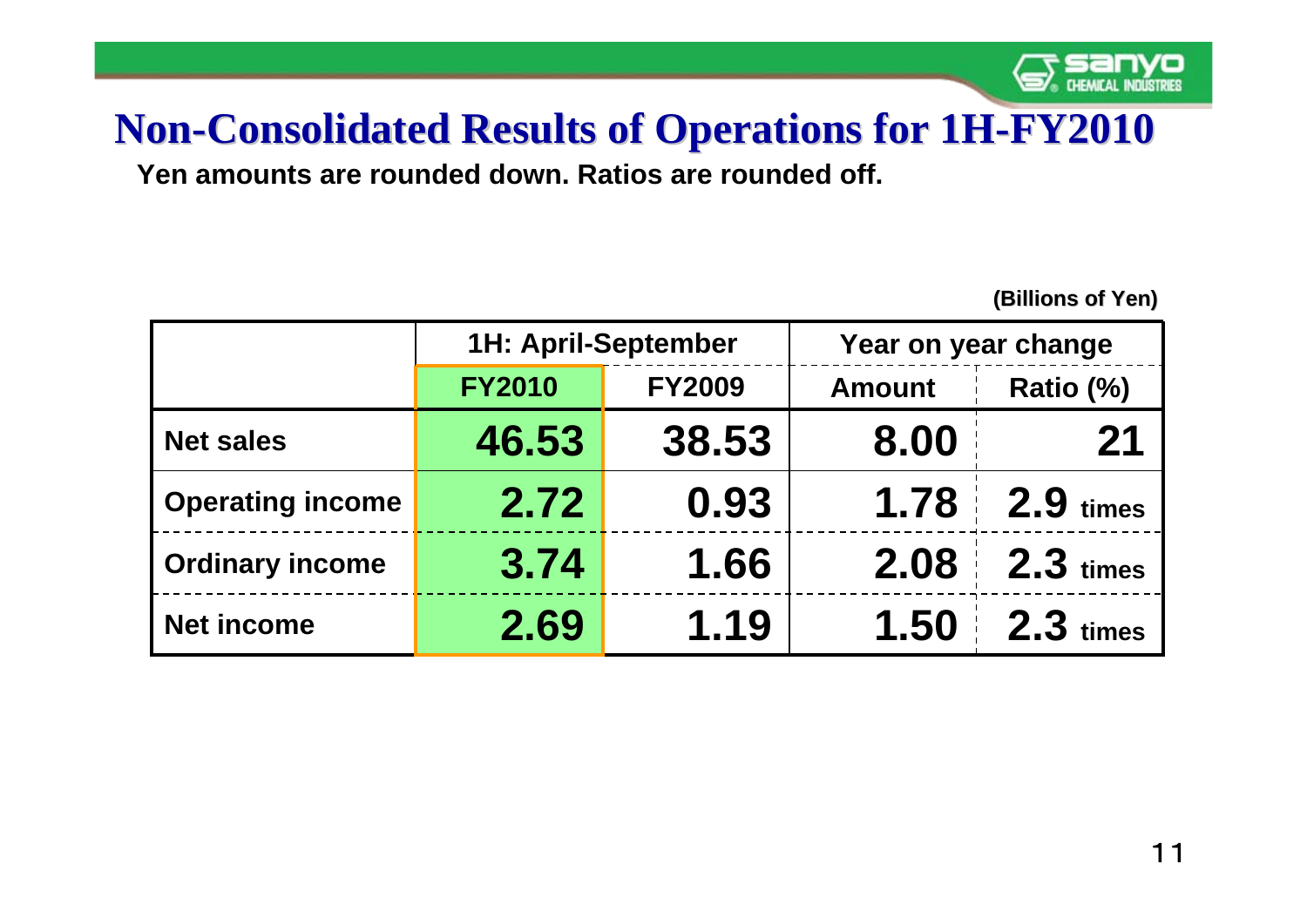

## **Non-Consolidated Results of Operations for 1H-FY2010**

**Yen amounts are rounded down. Ratios are rounded off.**

|                  | <b>1H: April-September</b> |               | Year on year change |             |  |
|------------------|----------------------------|---------------|---------------------|-------------|--|
|                  | <b>FY2010</b>              | <b>FY2009</b> | <b>Amount</b>       | Ratio (%)   |  |
| Net sales        | 46.53                      | 38.53         | 8.00                | 21          |  |
| Operating income | 2.72                       | 0.93          | 1.78                | $2.9$ times |  |
| Ordinary income  | 3.74                       | 1.66          | 2.08                | $2.3$ times |  |
| Net income       | 2.69                       | 1.19          | 1.50                | $2.3$ times |  |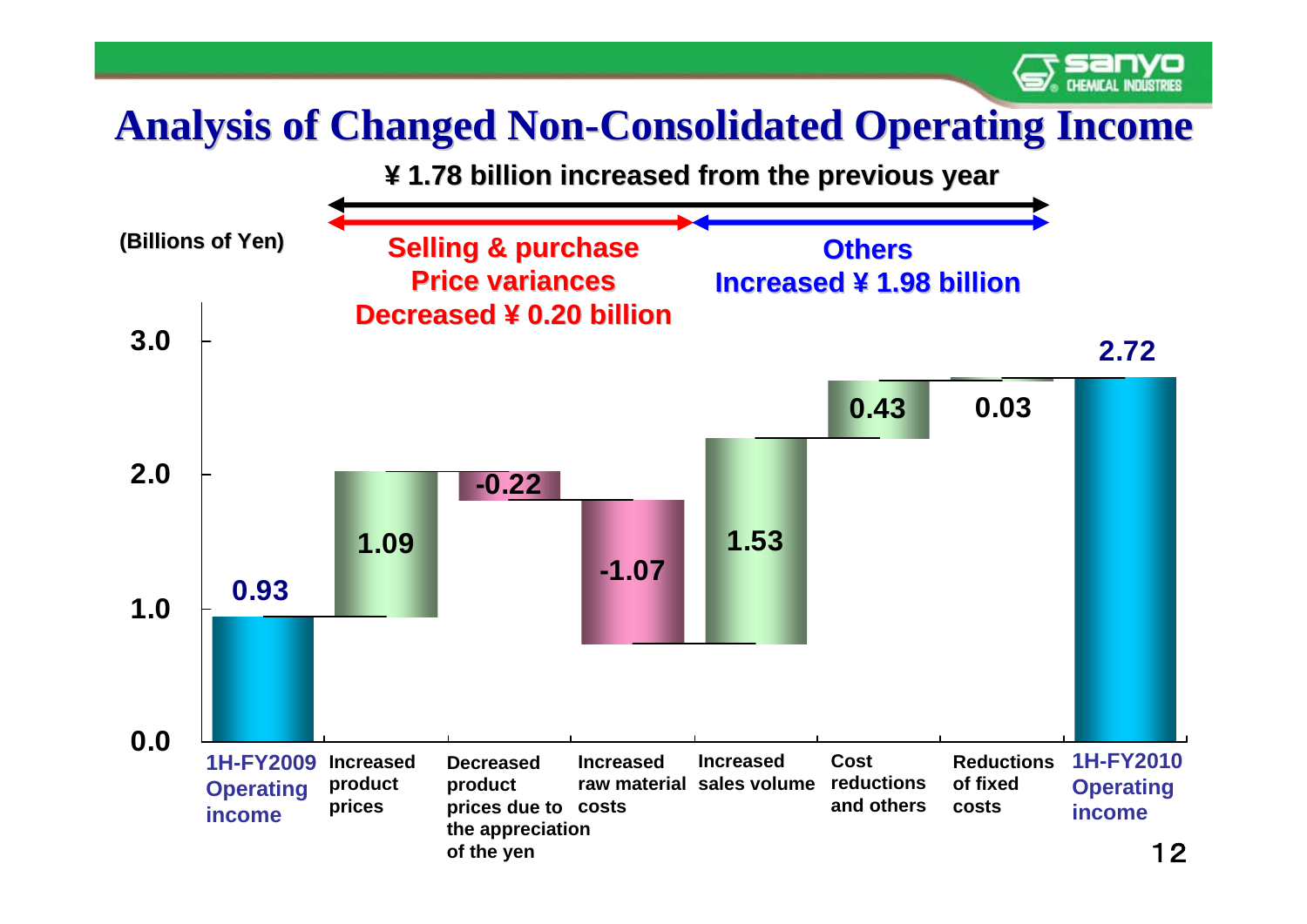## **Analysis of Changed Non-Consolidated Operating Income**

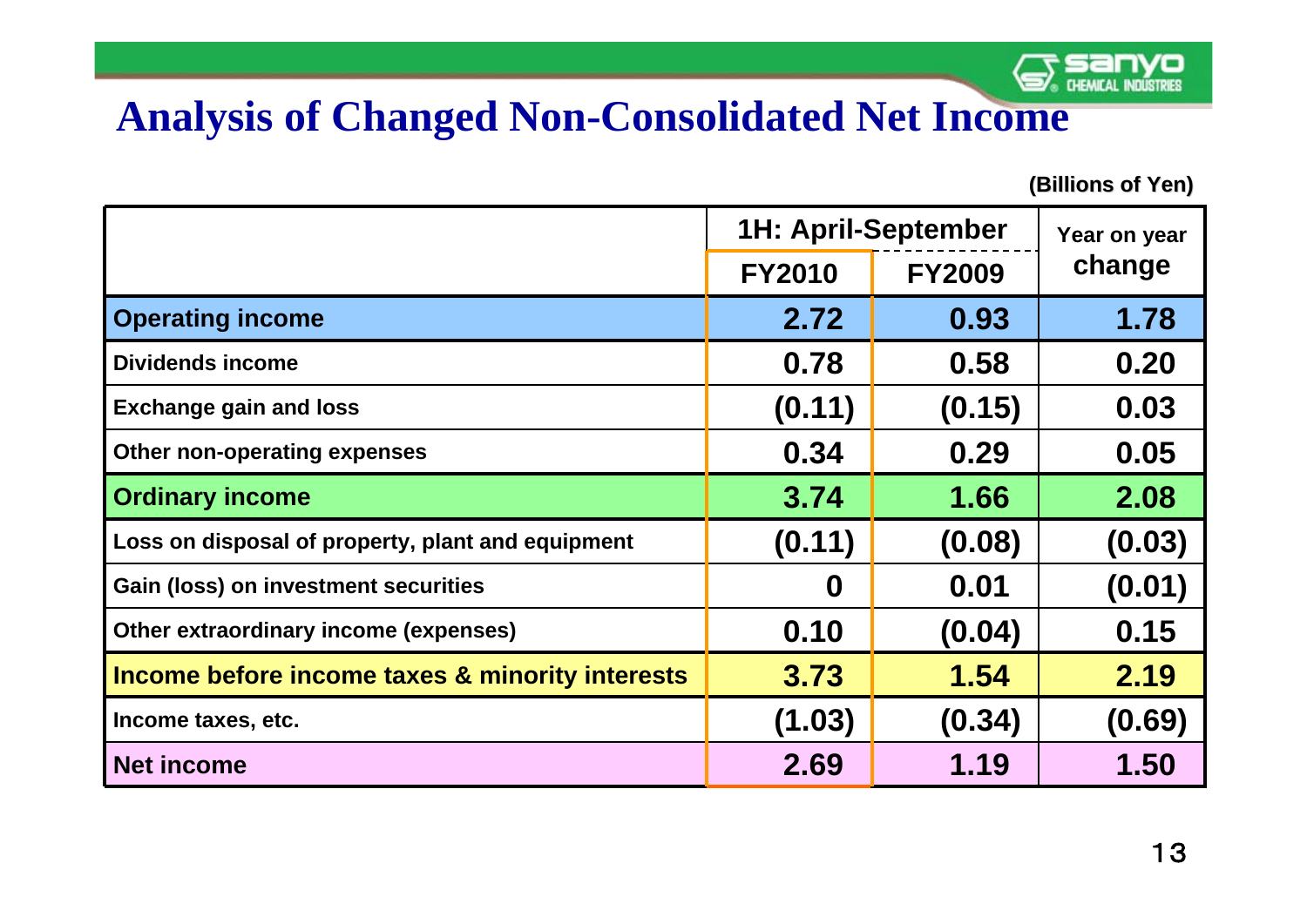

#### **Analysis of Changed Non-Consolidated Net Income**

|                                                   | 1H: April-September |               | Year on year |
|---------------------------------------------------|---------------------|---------------|--------------|
|                                                   | <b>FY2010</b>       | <b>FY2009</b> | change       |
| <b>Operating income</b>                           | 2.72                | 0.93          | 1.78         |
| <b>Dividends income</b>                           | 0.78                | 0.58          | 0.20         |
| <b>Exchange gain and loss</b>                     | (0.11)              | (0.15)        | 0.03         |
| Other non-operating expenses                      | 0.34                | 0.29          | 0.05         |
| <b>Ordinary income</b>                            | 3.74                | 1.66          | 2.08         |
| Loss on disposal of property, plant and equipment | (0.11)              | (0.08)        | (0.03)       |
| <b>Gain (loss) on investment securities</b>       | O                   | 0.01          | (0.01)       |
| Other extraordinary income (expenses)             | 0.10                | (0.04)        | 0.15         |
| Income before income taxes & minority interests   | 3.73                | 1.54          | 2.19         |
| Income taxes, etc.                                | (1.03)              | (0.34)        | (0.69)       |
| <b>Net income</b>                                 | 2.69                | 1.19          | 1.50         |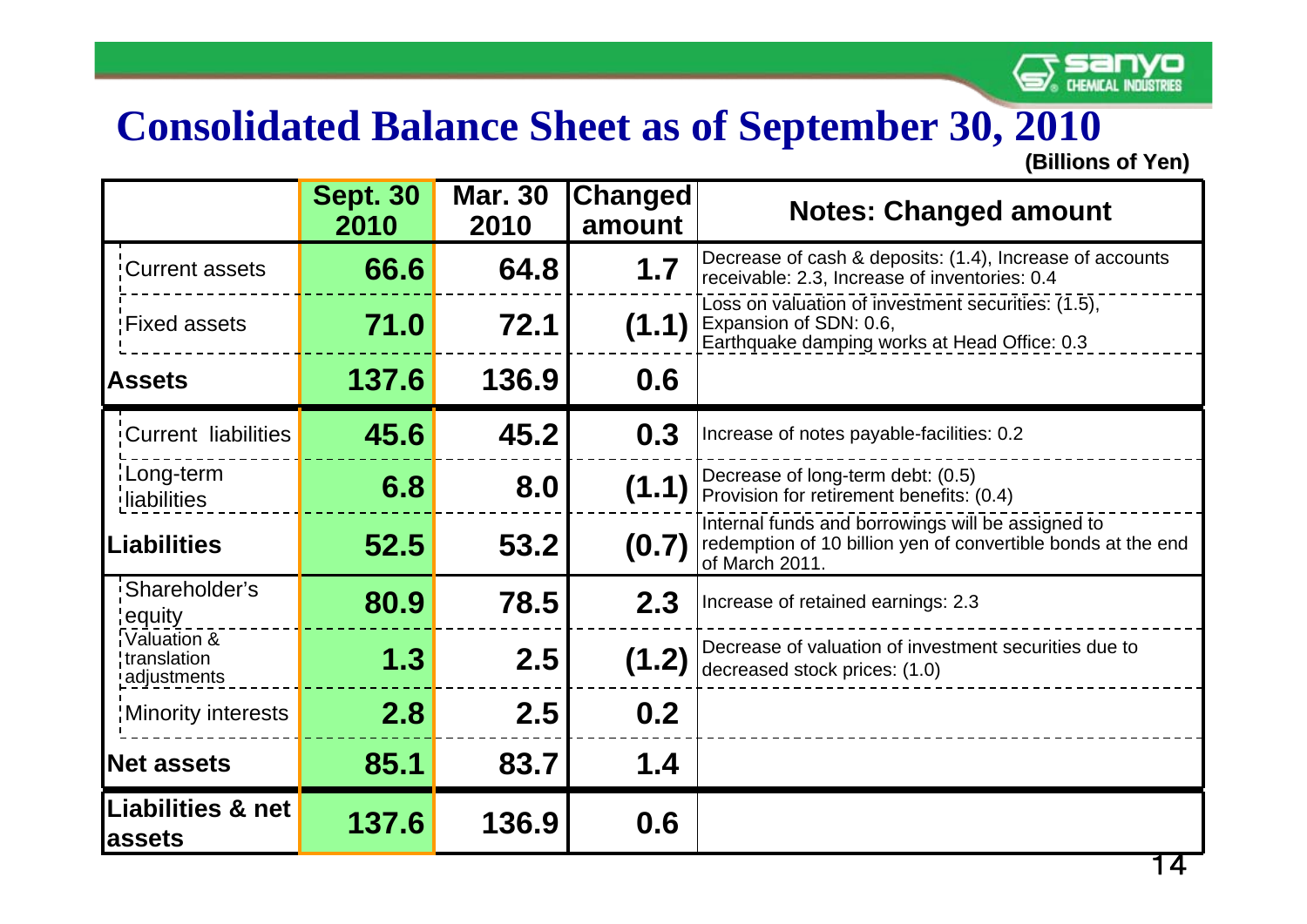

#### **Consolidated Balance Sheet as of September 30, 2010**

|                                           | <b>Sept. 30</b><br>2010 | <b>Mar. 30</b><br>2010 | Changed<br>amount | <b>Notes: Changed amount</b>                                                                                                        |
|-------------------------------------------|-------------------------|------------------------|-------------------|-------------------------------------------------------------------------------------------------------------------------------------|
| Current assets                            | 66.6                    | 64.8                   | 1.7               | Decrease of cash & deposits: (1.4), Increase of accounts<br>receivable: 2.3, Increase of inventories: 0.4                           |
| Fixed assets                              | 71.0                    | 72.1                   | (1.1)             | Loss on valuation of investment securities: $(1.5)$ ,<br>Expansion of SDN: 0.6,<br>Earthquake damping works at Head Office: 0.3     |
| <b>Assets</b>                             | 137.6                   | 136.9                  | 0.6               |                                                                                                                                     |
| Current liabilities                       | 45.6                    | 45.2                   | 0.3               | Increase of notes payable-facilities: 0.2                                                                                           |
| Long-term<br>liabilities                  | 6.8                     | 8.0                    | (1.1)             | Decrease of long-term debt: (0.5)<br>Provision for retirement benefits: (0.4)                                                       |
| <b>Liabilities</b>                        | 52.5                    | 53.2                   | (0.7)             | Internal funds and borrowings will be assigned to<br>redemption of 10 billion yen of convertible bonds at the end<br>of March 2011. |
| Shareholder's<br>equity                   | 80.9                    | 78.5                   | 2.3               | Increase of retained earnings: 2.3                                                                                                  |
| Valuation &<br>translation<br>adjustments | 1.3                     | 2.5                    | (1.2)             | Decrease of valuation of investment securities due to<br>decreased stock prices: (1.0)                                              |
| <b>Minority interests</b>                 | 2.8                     | 2.5                    | 0.2               |                                                                                                                                     |
| <b>Net assets</b>                         | 85.1                    | 83.7                   | 1.4               |                                                                                                                                     |
| <b>Liabilities &amp; net</b><br>assets    | 137.6                   | 136.9                  | 0.6               |                                                                                                                                     |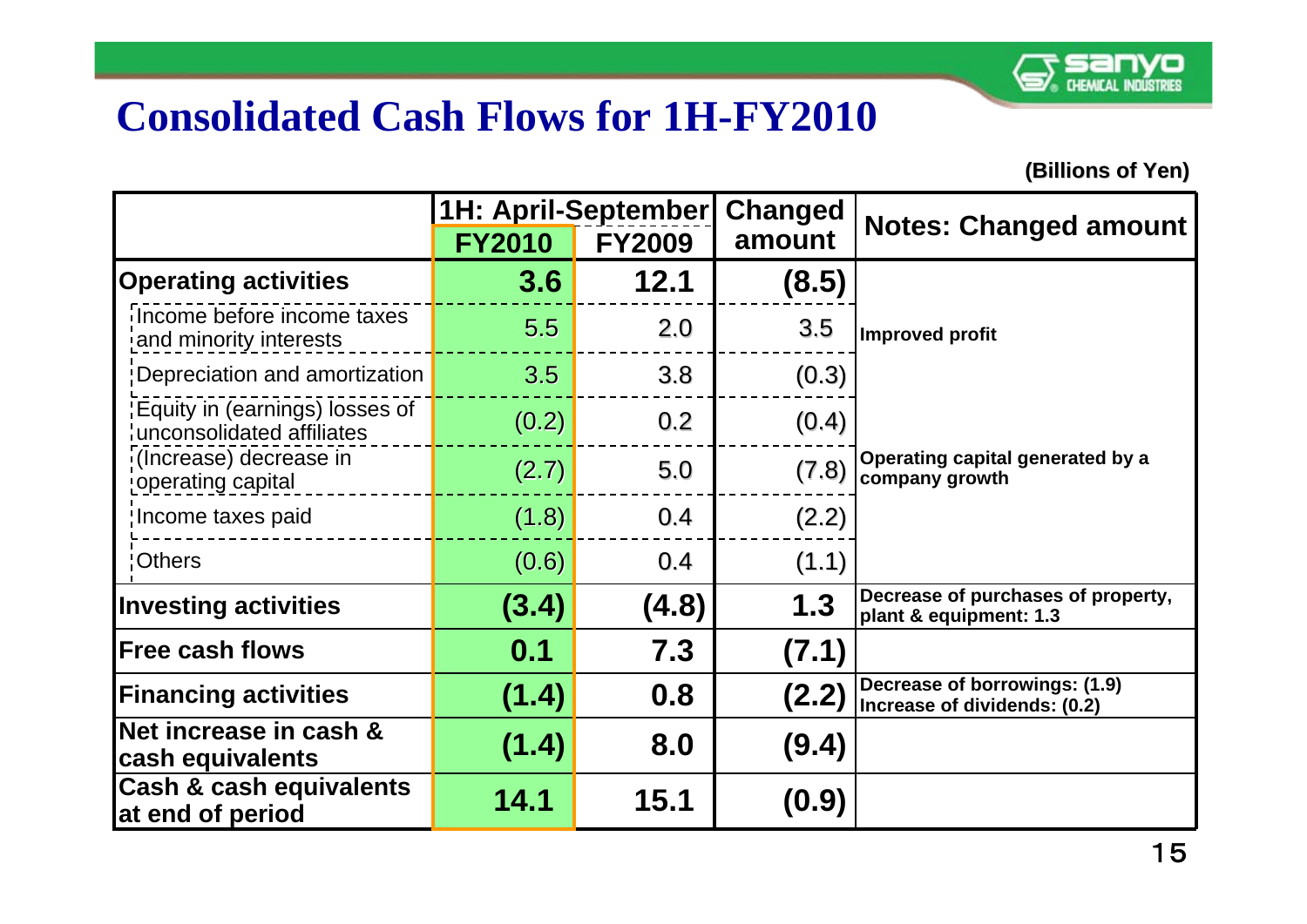

#### **Consolidated Cash Flows for 1H-FY2010**

|                                                             | <b>1H: April-September</b> |               | Changed | <b>Notes: Changed amount</b>                                  |
|-------------------------------------------------------------|----------------------------|---------------|---------|---------------------------------------------------------------|
|                                                             | <b>FY2010</b>              | <b>FY2009</b> | amount  |                                                               |
| <b>Operating activities</b>                                 | 3.6                        | 12.1          | (8.5)   |                                                               |
| Income before income taxes<br>and minority interests        | 5.5                        | 2.0           | 3.5     | <b>Improved profit</b>                                        |
| Depreciation and amortization                               | 3.5                        | 3.8           | (0.3)   |                                                               |
| Equity in (earnings) losses of<br>unconsolidated affiliates | (0.2)                      | 0.2           | (0.4)   |                                                               |
| (Increase) decrease in<br>operating capital                 | (2.7)                      | 5.0           | (7.8)   | Operating capital generated by a<br>company growth            |
| Income taxes paid                                           | (1.8)                      | 0.4           | (2.2)   |                                                               |
| 'Others                                                     | (0.6)                      | 0.4           | (1.1)   |                                                               |
| <b>Investing activities</b>                                 | (3.4)                      | (4.8)         | 1.3     | Decrease of purchases of property,<br>plant & equipment: 1.3  |
| <b>Free cash flows</b>                                      | 0.1                        | 7.3           | (7.1)   |                                                               |
| <b>Financing activities</b>                                 | (1.4)                      | 0.8           | (2.2)   | Decrease of borrowings: (1.9)<br>Increase of dividends: (0.2) |
| Net increase in cash &<br>cash equivalents                  | (1.4)                      | 8.0           | (9.4)   |                                                               |
| <b>Cash &amp; cash equivalents</b><br>at end of period      | 14.1                       | <b>15.1</b>   | (0.9)   |                                                               |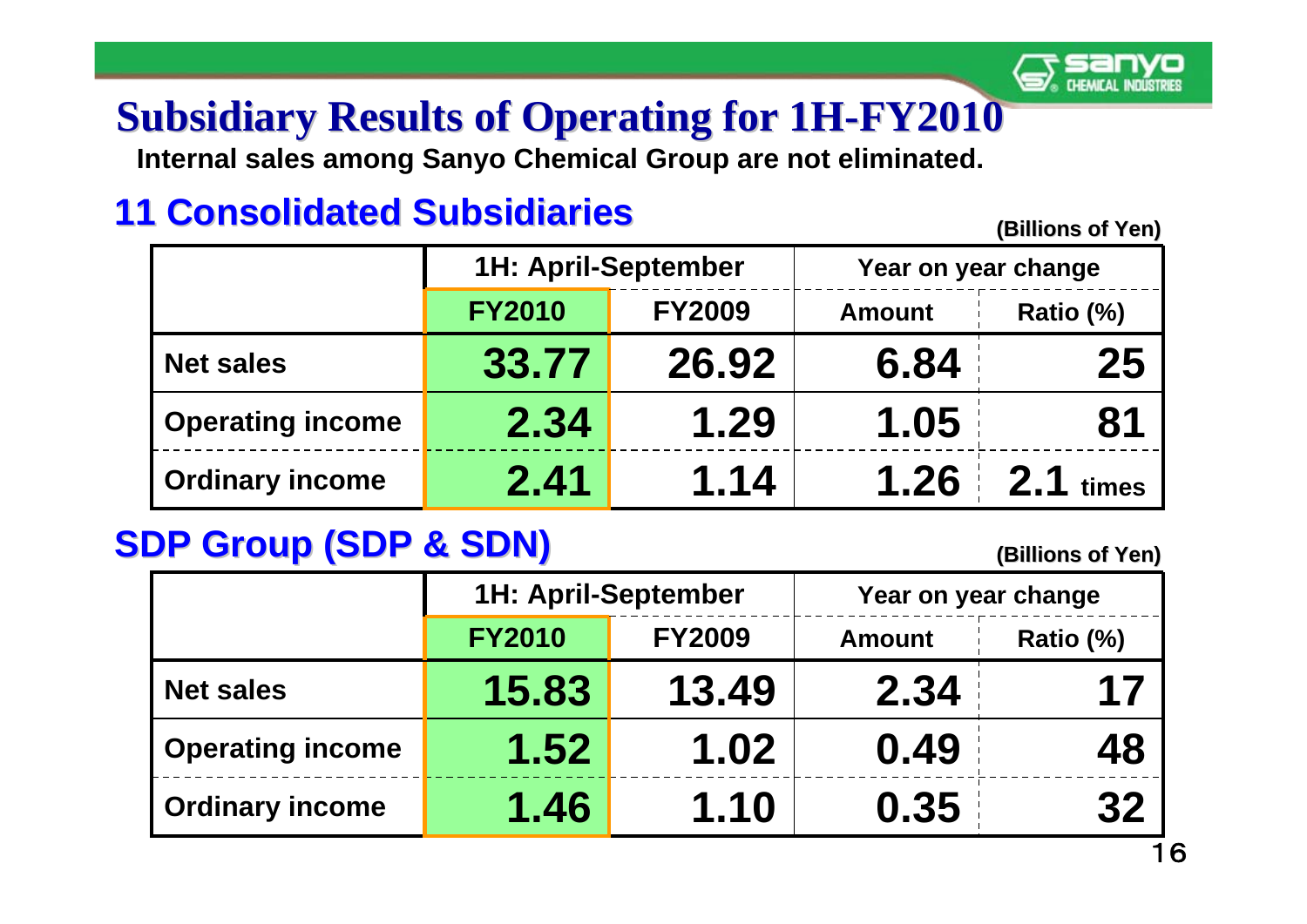## **Subsidiary Results of Operating for 1H Subsidiary Results of Operating for 1H -FY2010**

**Internal sales among Sanyo Chemical Group are not eliminated.** 

#### **11 Consolidated Subsidiaries**

**(Billions of Yen) (Billions of Yen)** 

|                         | <b>1H: April-September</b> |               | Year on year change |           |  |  |
|-------------------------|----------------------------|---------------|---------------------|-----------|--|--|
|                         | <b>FY2010</b>              | <b>FY2009</b> | <b>Amount</b>       | Ratio (%) |  |  |
| <b>Net sales</b>        | 33.77                      | 26.92         | 6.84                | 25        |  |  |
| <b>Operating income</b> | 2.34                       | 1.29          | 1.05                | 81        |  |  |
| <b>Ordinary income</b>  | 2.41                       | 1.14          | $1.26 \div 2.1$     | times     |  |  |

#### **SDP Group (SDP & SDN)**

|                         | <b>1H: April-September</b> |               | Year on year change |           |  |
|-------------------------|----------------------------|---------------|---------------------|-----------|--|
|                         | <b>FY2010</b>              | <b>FY2009</b> | <b>Amount</b>       | Ratio (%) |  |
| <b>Net sales</b>        | 15.83                      | 13.49         | 2.34                | 17        |  |
| <b>Operating income</b> | 1.52                       | 1.02          | 0.49                | 48        |  |
| <b>Ordinary income</b>  | 1.46                       | 1.10          | 0.35                | 32        |  |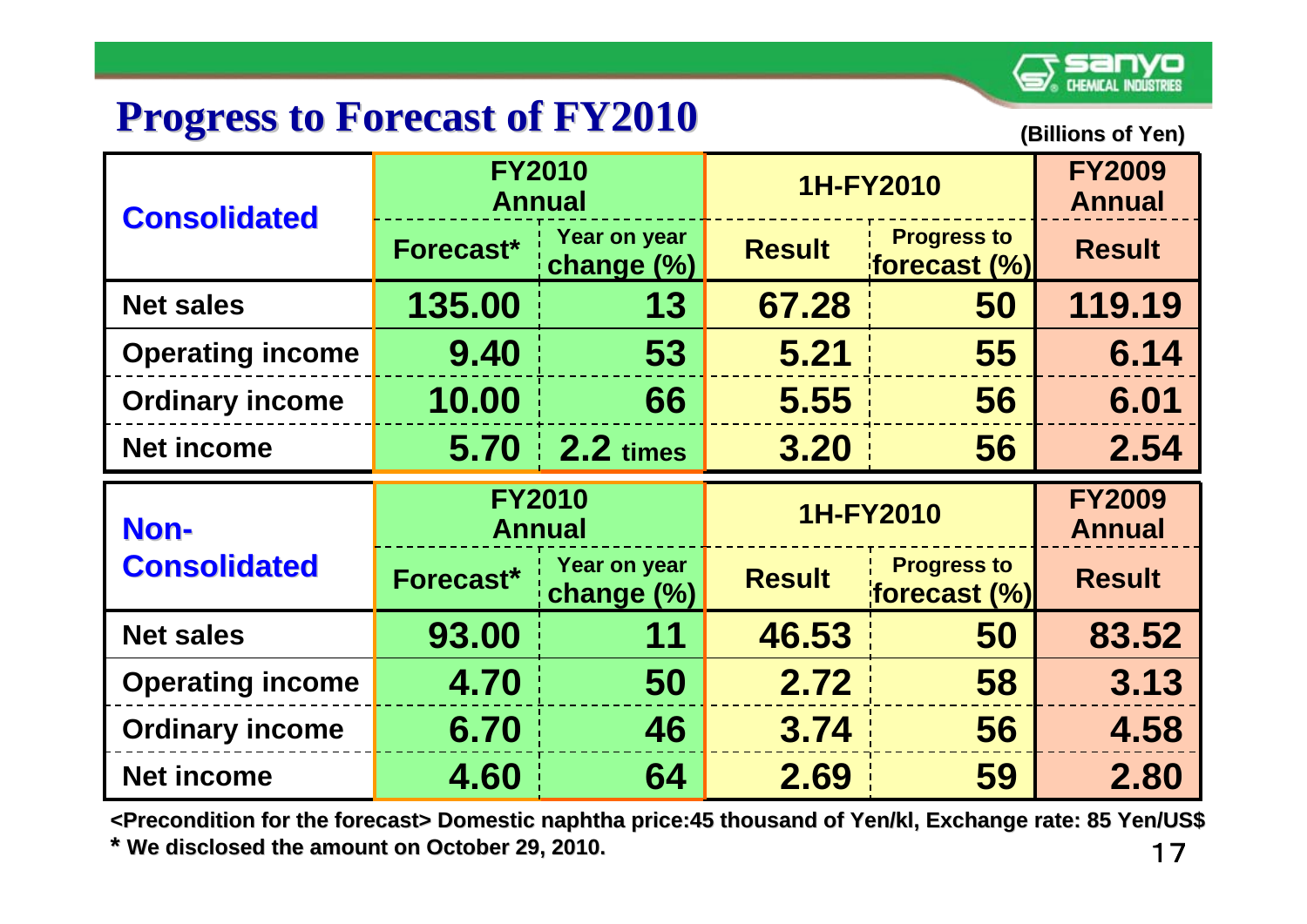

#### **Progress to Forecast of FY2010 Progress to Forecast of FY2010**

**(Billion (Billions of Yen)**

| <b>Consolidated</b>     | <b>FY2010</b><br><b>Annual</b> |                                | 1H-FY2010     |                                           | <b>FY2009</b><br><b>Annual</b> |
|-------------------------|--------------------------------|--------------------------------|---------------|-------------------------------------------|--------------------------------|
|                         | Forecast*                      | Year on year<br>change $(\%)$  | <b>Result</b> | <b>Progress to</b><br>forecast $(\%)$     | <b>Result</b>                  |
| <b>Net sales</b>        | 135.00                         | 13                             | 67.28         | 50                                        | 119.19                         |
| <b>Operating income</b> | 9.40                           | 53                             | 5.21          | 55                                        | 6.14                           |
| <b>Ordinary income</b>  | 10.00                          | 66                             | 5.55          | 56                                        | 6.01                           |
| <b>Net income</b>       | 5.70 <sub>1</sub>              | $2.2 \times$                   | 3.20          | 56                                        | 2.54                           |
|                         |                                |                                |               |                                           |                                |
| Non-                    |                                | <b>FY2010</b><br><b>Annual</b> |               | 1H-FY2010                                 | <b>FY2009</b><br><b>Annual</b> |
| <b>Consolidated</b>     | Forecast*                      | Year on year<br>change $(\%)$  | <b>Result</b> | <b>Progress to</b><br>$ $ forecast $(\%)$ | <b>Result</b>                  |
| <b>Net sales</b>        | 93.00                          | 11                             | 46.53         | 50                                        | 83.52                          |
| <b>Operating income</b> | 4.70                           | 50                             | 2.72          | 58                                        | 3.13                           |
| <b>Ordinary income</b>  | 6.70                           | 46                             | 3.74          | 56                                        | 4.58                           |

17**<Precondition for the forecast> <Precondition for the forecast> Domestic naphtha price:45 thousa a price:45 thousand of Yen/ nd of Yen/kl, Exchange rate: 85 Yen/US\$ \* We disclosed the amount on October 29, 2010. t on October 29, 2010.**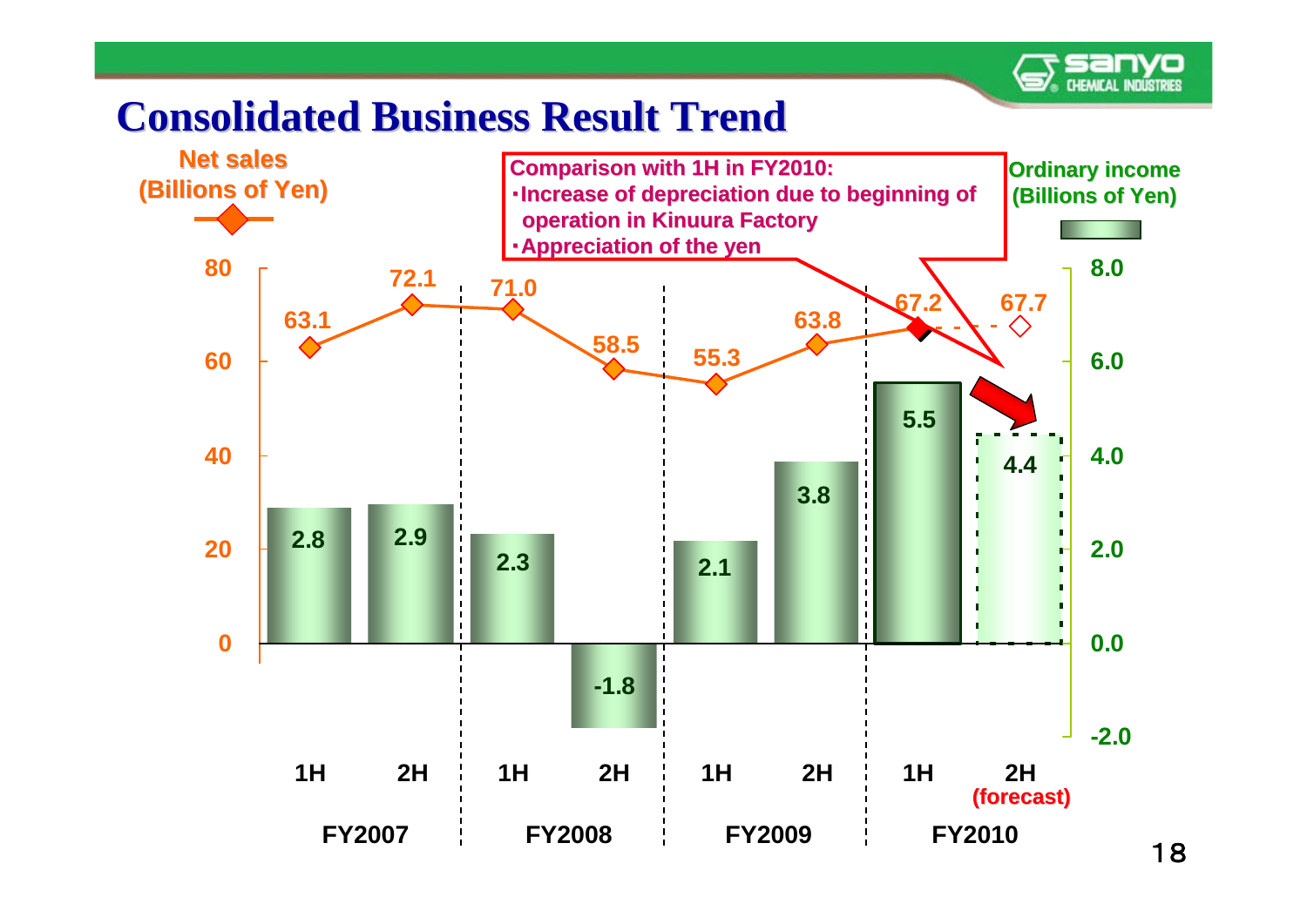

#### **Consolidated Business Result Trend Consolidated Business Result Trend**

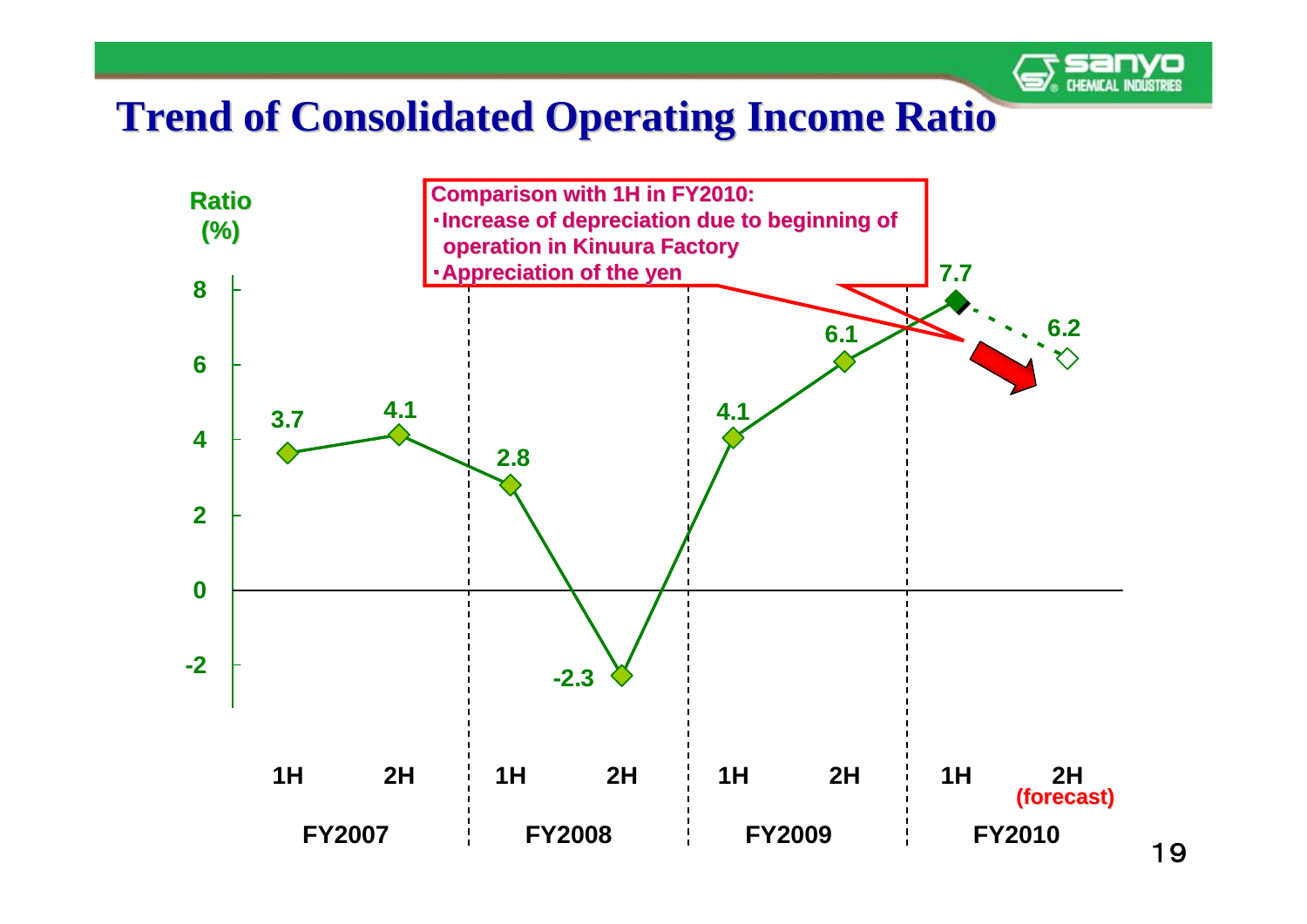

#### **Trend of Consolidated Operating Income Ratio Trend of Consolidated Operating Income Ratio**

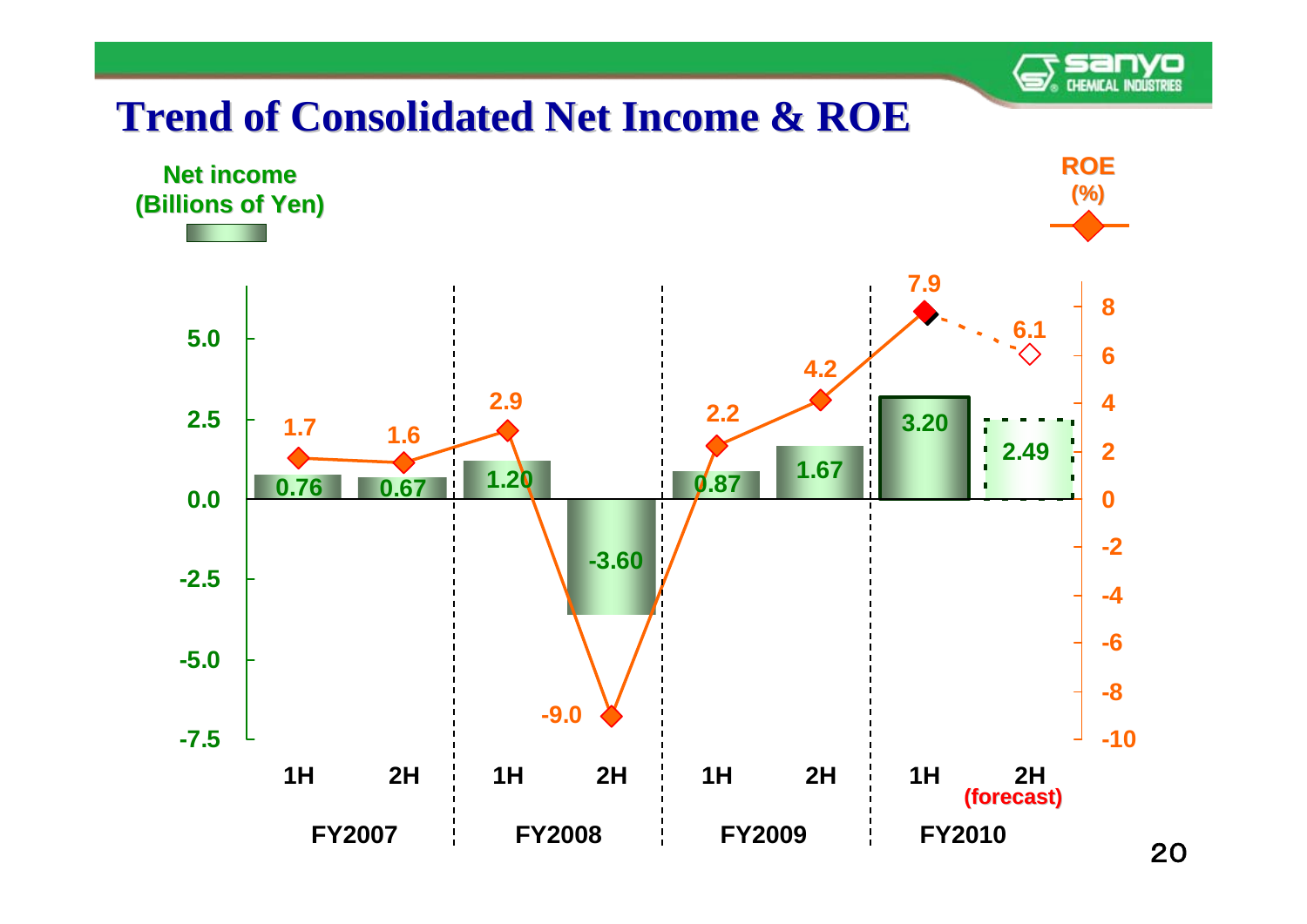## **CHEMICAL INDUSTRIES**

#### **Trend of Consolidated Net Income & ROE Trend of Consolidated Net Income & ROE**

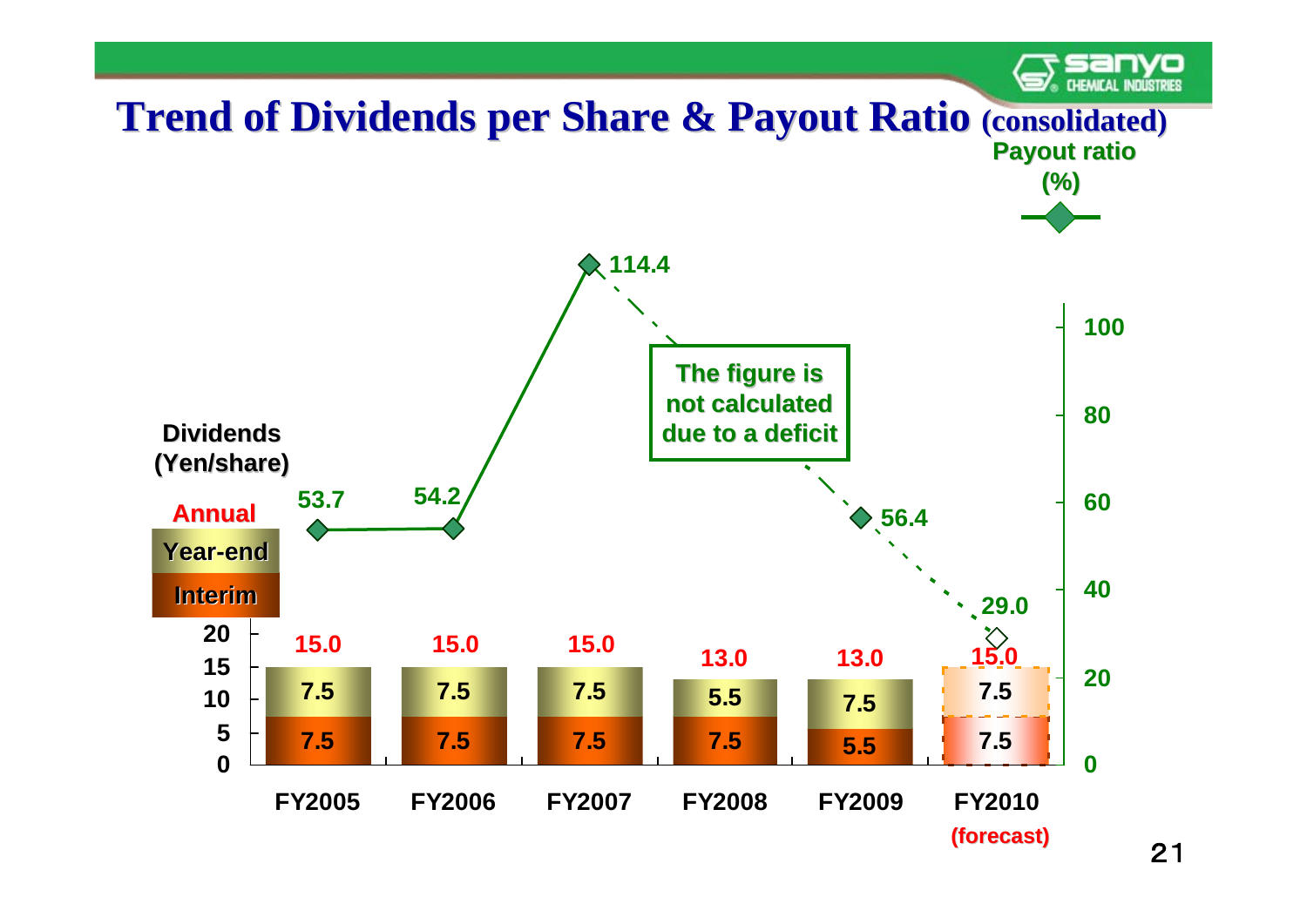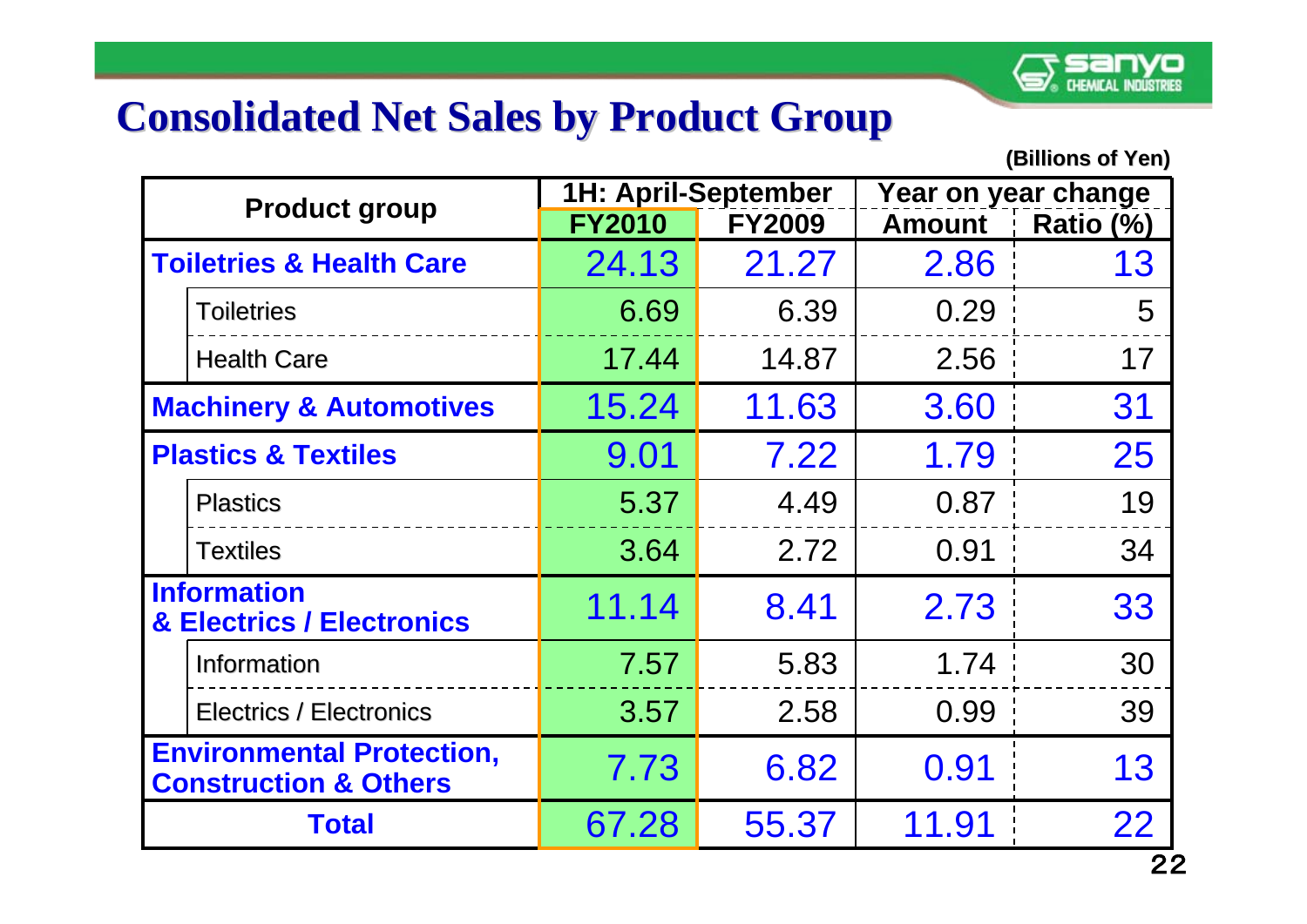#### **Consolidated Net Sales by Product Group**

| <b>Product group</b>                                                 |               | <b>1H: April-September</b> |               | Year on year change |  |
|----------------------------------------------------------------------|---------------|----------------------------|---------------|---------------------|--|
|                                                                      | <b>FY2010</b> | <b>FY2009</b>              | <b>Amount</b> | Ratio (%)           |  |
| <b>Toiletries &amp; Health Care</b>                                  | 24.13         | 21.27                      | 2.86          | 13                  |  |
| <b>Toiletries</b>                                                    | 6.69          | 6.39                       | 0.29          | 5                   |  |
| <b>Health Care</b>                                                   | 17.44         | 14.87                      | 2.56          | 17                  |  |
| <b>Machinery &amp; Automotives</b>                                   | 15.24         | 11.63                      | 3.60          | 31                  |  |
| <b>Plastics &amp; Textiles</b>                                       | 9.01          | 7.22                       | 1.79          | 25                  |  |
| <b>Plastics</b>                                                      | 5.37          | 4.49                       | 0.87          | 19                  |  |
| <b>Textiles</b>                                                      | 3.64          | 2.72                       | 0.91          | 34                  |  |
| <b>Information</b><br>& Electrics / Electronics                      | 11.14         | 8.41                       | 2.73          | 33                  |  |
| Information                                                          | 7.57          | 5.83                       | 1.74          | 30                  |  |
| <b>Electrics / Electronics</b>                                       | 3.57          | 2.58                       | 0.99          | 39                  |  |
| <b>Environmental Protection,</b><br><b>Construction &amp; Others</b> | 7.73          | 6.82                       | 0.91          | 13                  |  |
| <b>Total</b>                                                         | 67.28         | 55.37                      | 11.91         | 22                  |  |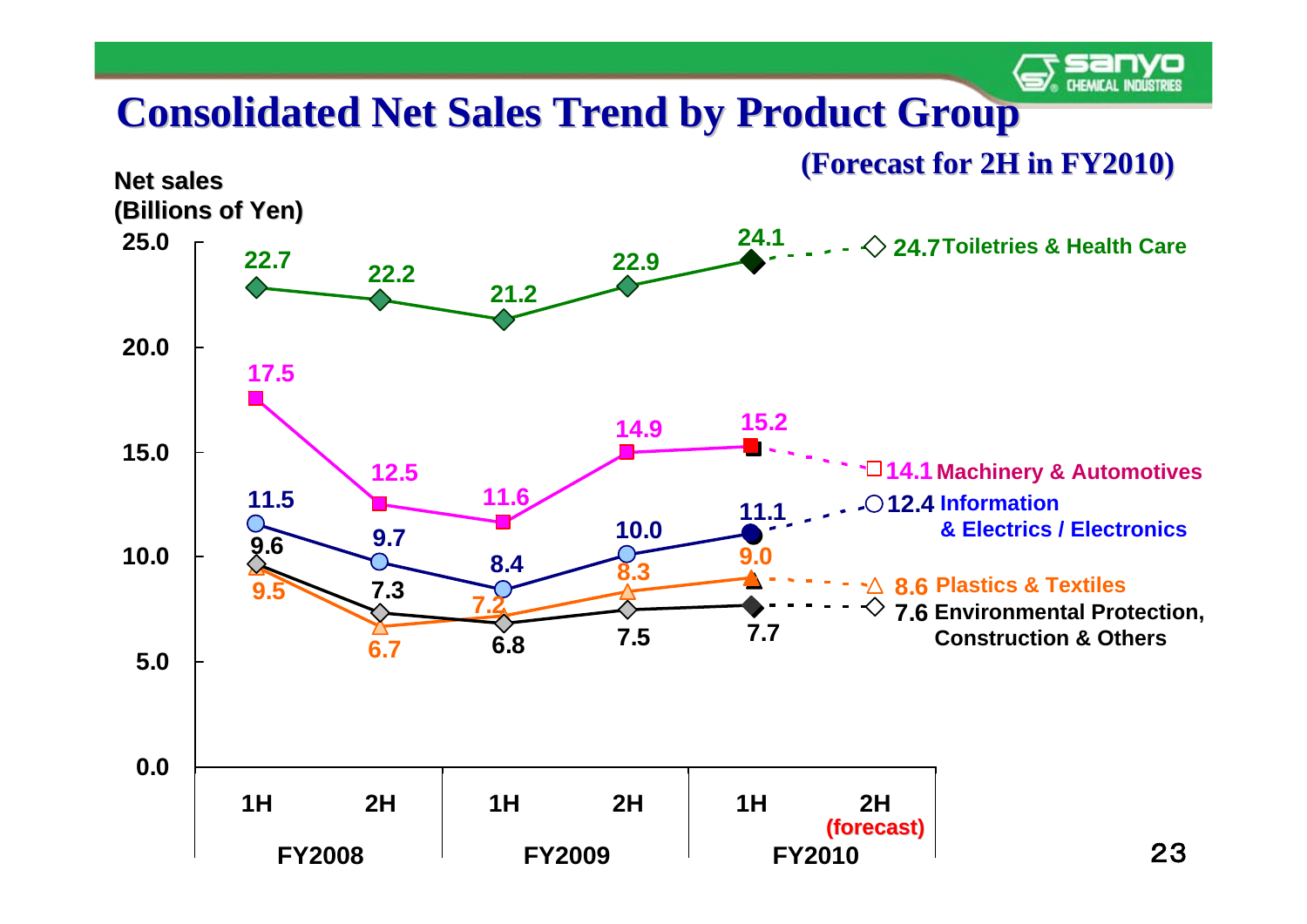

#### **Consolidated Net Sales Trend by Product Group**

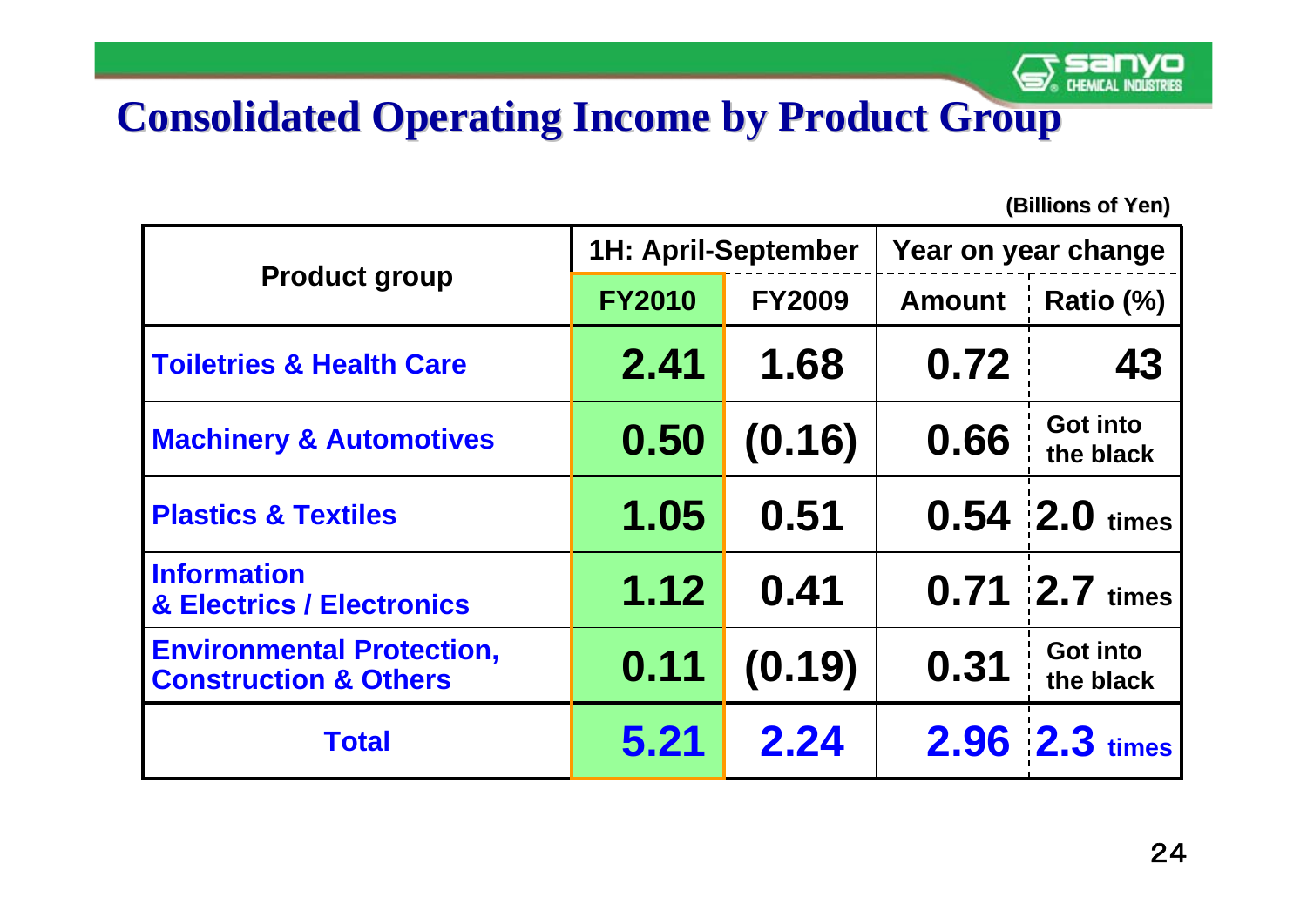

### **Consolidated Operating Income by Product Group**

|                                                                      | <b>1H: April-September</b> |               | Year on year change |                              |
|----------------------------------------------------------------------|----------------------------|---------------|---------------------|------------------------------|
| <b>Product group</b>                                                 | <b>FY2010</b>              | <b>FY2009</b> | <b>Amount</b>       | Ratio (%)                    |
| <b>Toiletries &amp; Health Care</b>                                  | 2.41                       | 1.68          | 0.72                | 43                           |
| <b>Machinery &amp; Automotives</b>                                   | 0.50                       | (0.16)        | 0.66                | <b>Got into</b><br>the black |
| <b>Plastics &amp; Textiles</b>                                       | 1.05                       | 0.51          |                     | $0.54$ 2.0 times             |
| <b>Information</b><br><b>&amp; Electrics / Electronics</b>           | 1.12                       | 0.41          |                     | $0.71$ $2.7$ times           |
| <b>Environmental Protection,</b><br><b>Construction &amp; Others</b> | 0.11                       | (0.19)        | 0.31                | <b>Got into</b><br>the black |
| <b>Total</b>                                                         | 5.21                       | 2.24          |                     | $2.96$ $ 2.3 $ times         |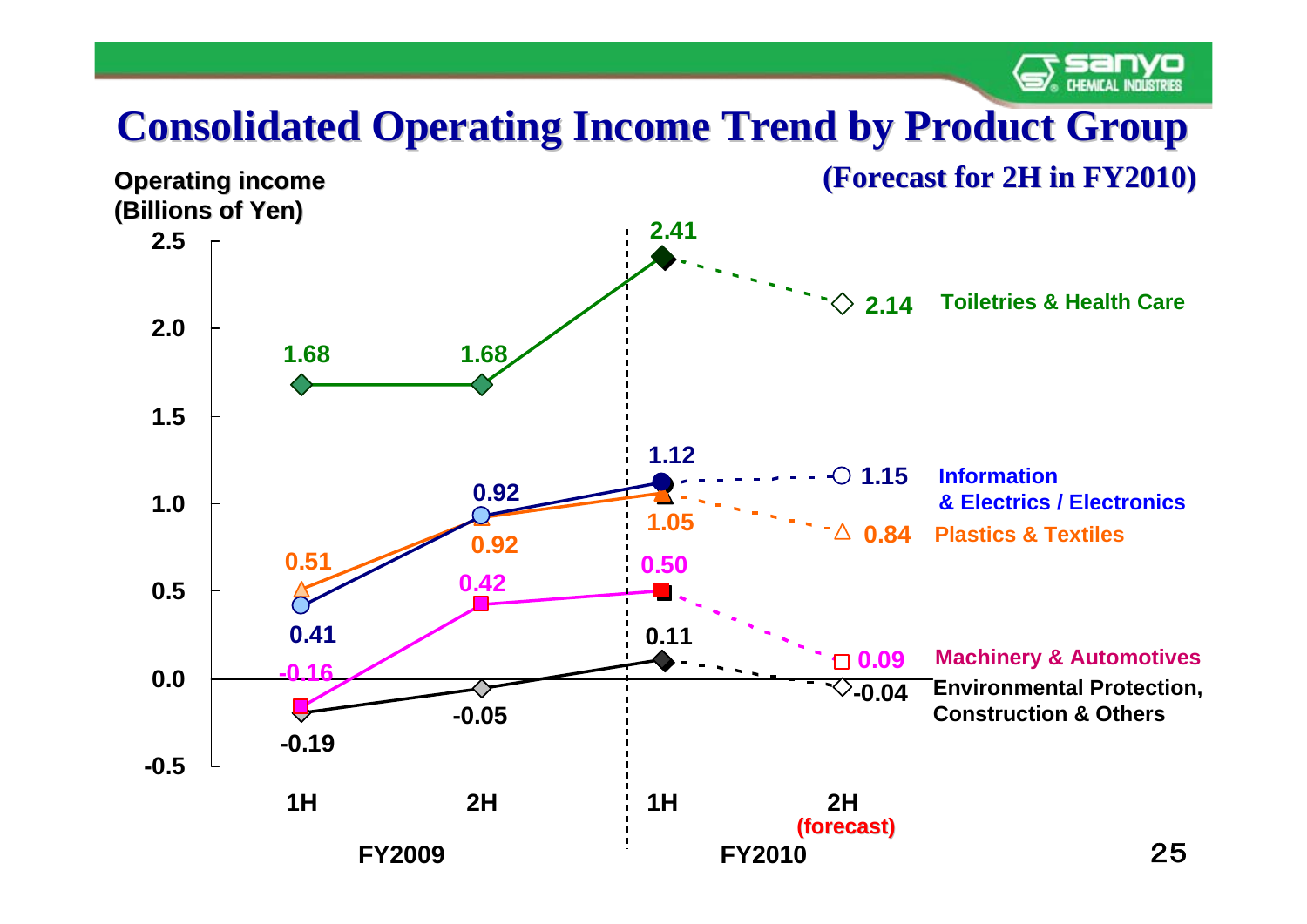

## **Consolidated Operating Income Trend by Product Group**

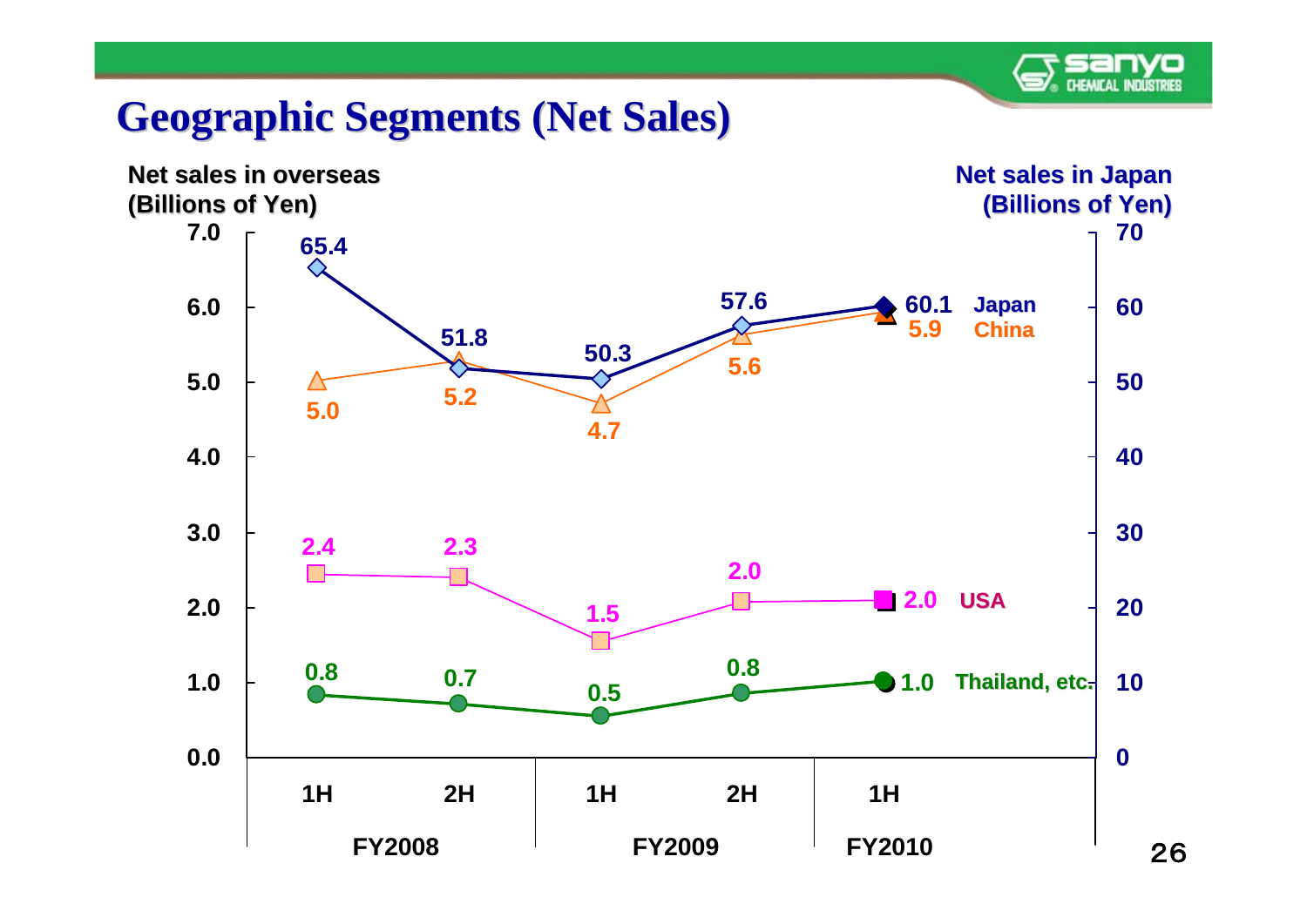#### **Geographic Segments (Net Sales) Geographic Segments (Net Sales)**

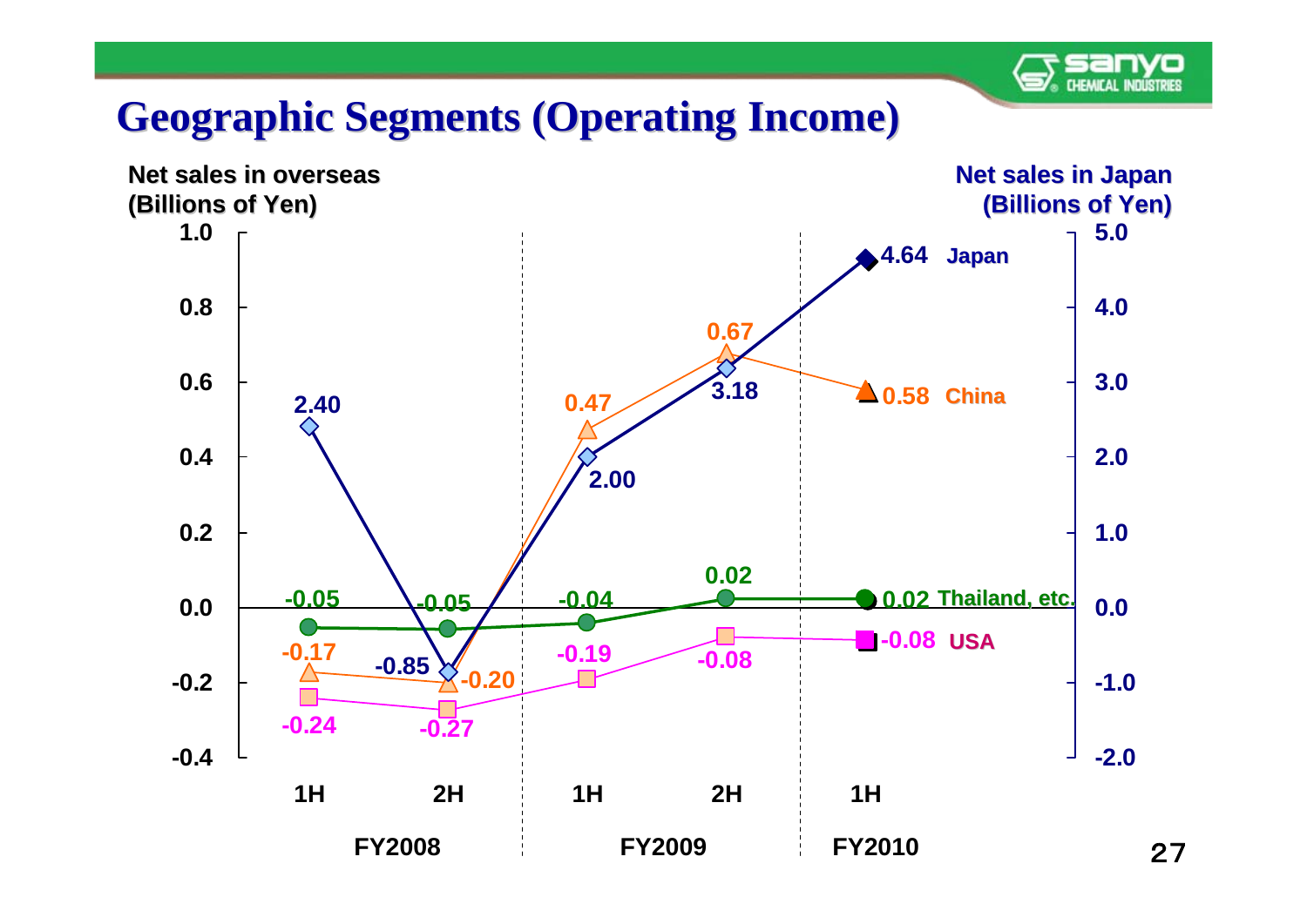#### **Geographic Segments (Operating Income)**

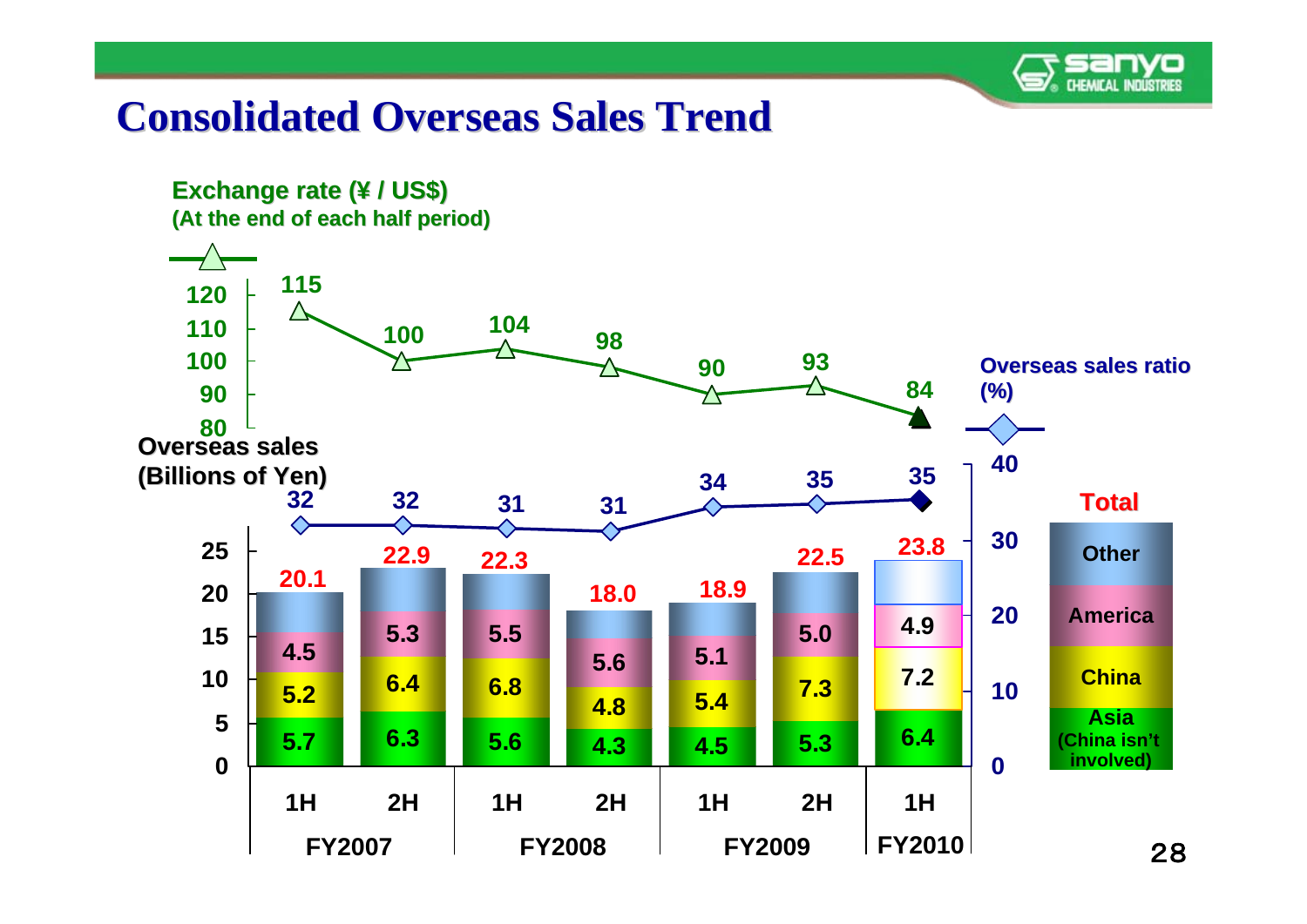

#### **Consolidated Overseas Sales Trend Consolidated Overseas Sales Trend**

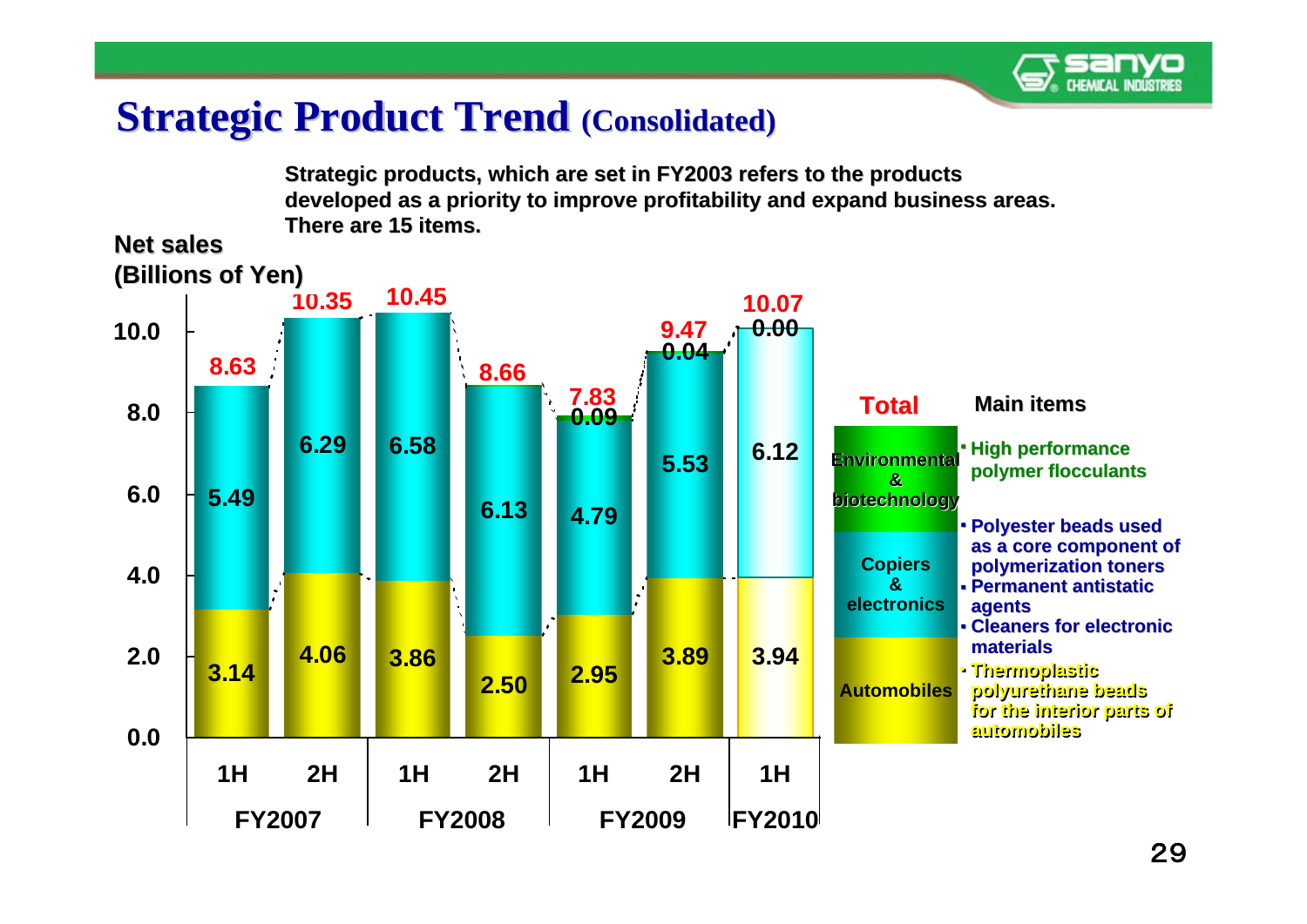

#### **Strategic Product Trend (Consolidated)**

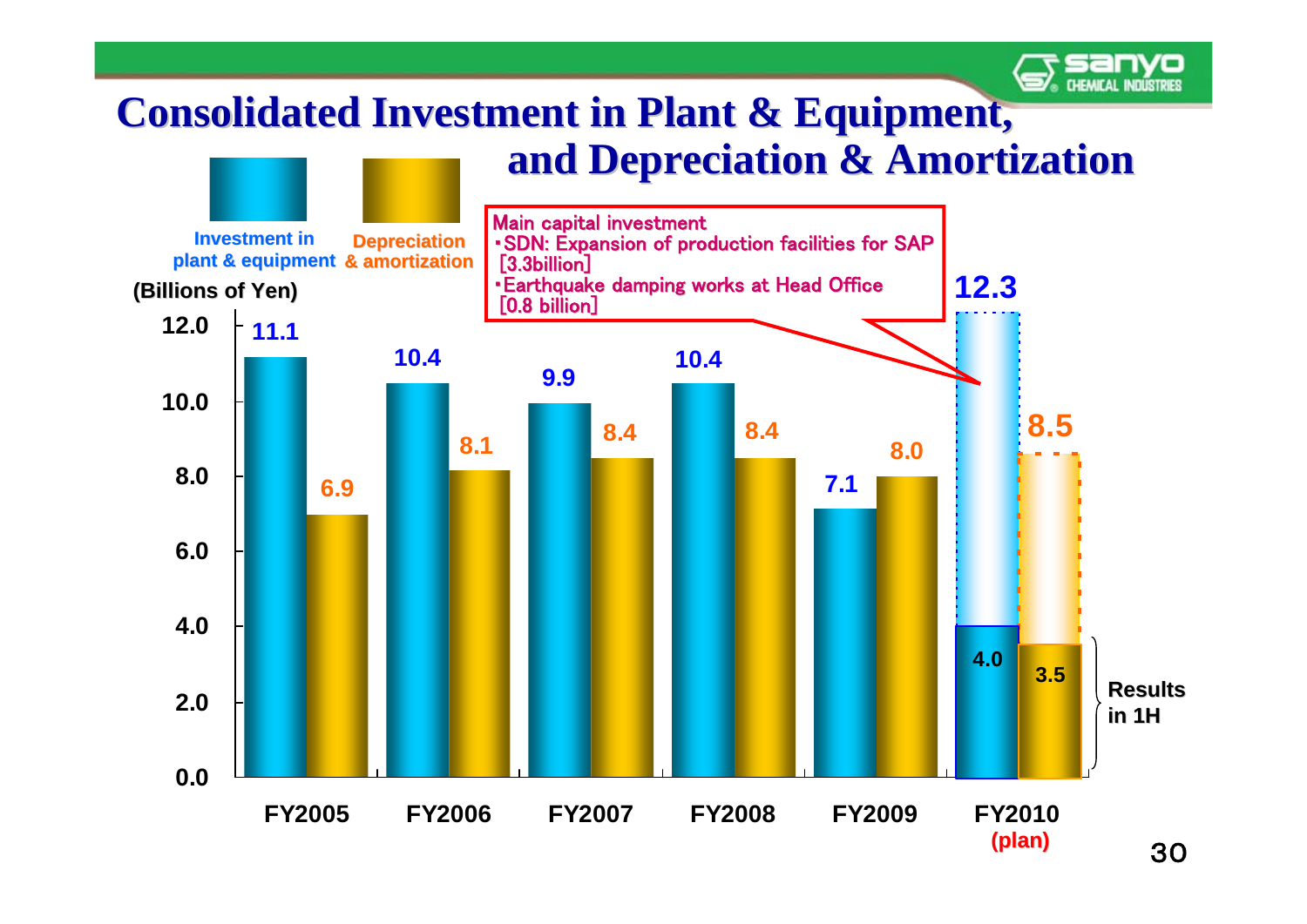#### **CHEMICAL INDUSTRIES Consolidated Investment in Plant & Equipment, and Depreciation & Amortization** Main capital investment **Investment inDepreciation** • SDN: Expansion of production facilities for SAP<br>[3.3billion] **14.0 plant & equipment plant & & amortization & amortization**  • Earthquake damping works at Head Office [0.8 billion] **12.3(Billions of Yen) (Billions of 12.011.110.410.49.910.0 8.5 8.4 8.4 8.08.18.07.16.96.04.04.0 3.5 Results 2.0in 1H0.0FY2005 FY2006 FY2007 FY2008 FY2009 FY2010**

**(plan)** 30